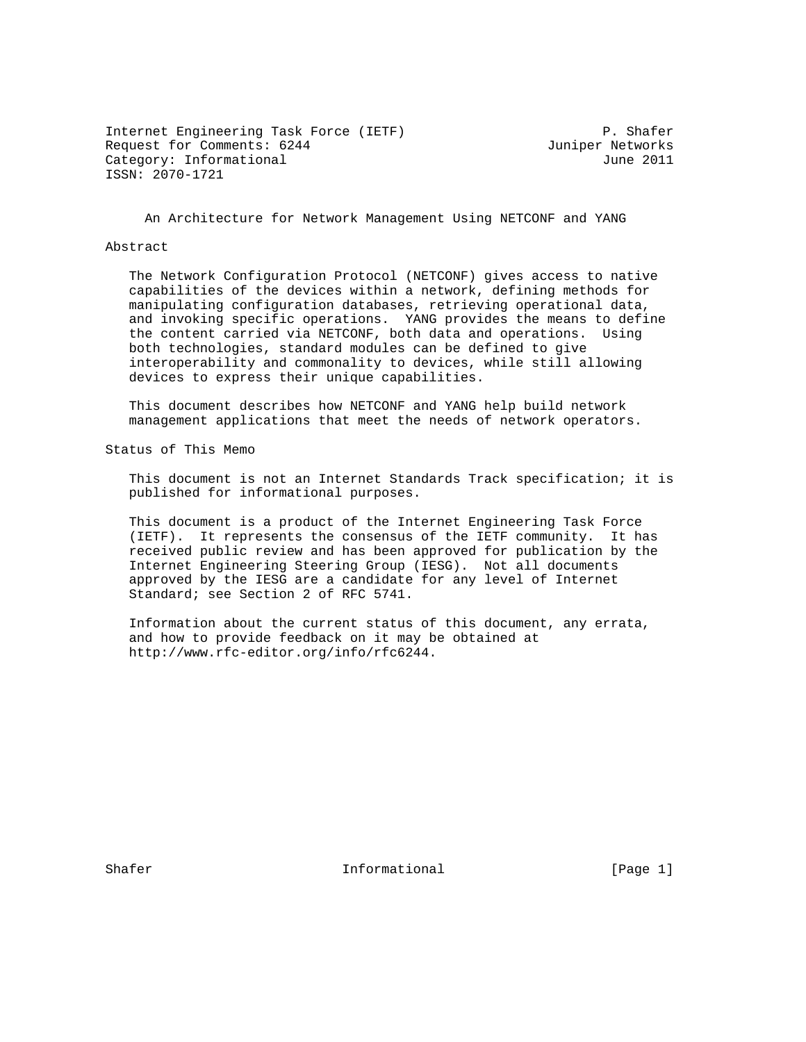Internet Engineering Task Force (IETF) P. Shafer Request for Comments: 6244 Juniper Networks Category: Informational June 2011 ISSN: 2070-1721

An Architecture for Network Management Using NETCONF and YANG

### Abstract

 The Network Configuration Protocol (NETCONF) gives access to native capabilities of the devices within a network, defining methods for manipulating configuration databases, retrieving operational data, and invoking specific operations. YANG provides the means to define the content carried via NETCONF, both data and operations. Using both technologies, standard modules can be defined to give interoperability and commonality to devices, while still allowing devices to express their unique capabilities.

 This document describes how NETCONF and YANG help build network management applications that meet the needs of network operators.

Status of This Memo

 This document is not an Internet Standards Track specification; it is published for informational purposes.

 This document is a product of the Internet Engineering Task Force (IETF). It represents the consensus of the IETF community. It has received public review and has been approved for publication by the Internet Engineering Steering Group (IESG). Not all documents approved by the IESG are a candidate for any level of Internet Standard; see Section 2 of RFC 5741.

 Information about the current status of this document, any errata, and how to provide feedback on it may be obtained at http://www.rfc-editor.org/info/rfc6244.

Shafer The Informational The Informational (Page 1)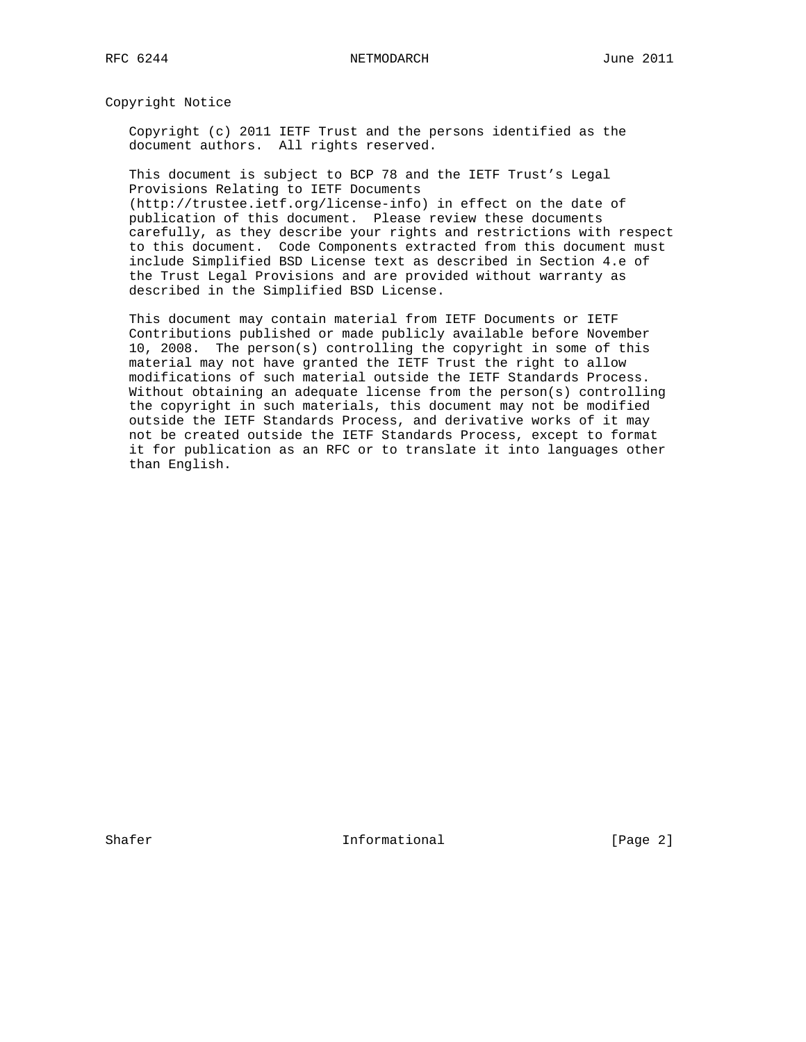Copyright Notice

 Copyright (c) 2011 IETF Trust and the persons identified as the document authors. All rights reserved.

 This document is subject to BCP 78 and the IETF Trust's Legal Provisions Relating to IETF Documents (http://trustee.ietf.org/license-info) in effect on the date of publication of this document. Please review these documents carefully, as they describe your rights and restrictions with respect to this document. Code Components extracted from this document must

 include Simplified BSD License text as described in Section 4.e of the Trust Legal Provisions and are provided without warranty as described in the Simplified BSD License.

 This document may contain material from IETF Documents or IETF Contributions published or made publicly available before November 10, 2008. The person(s) controlling the copyright in some of this material may not have granted the IETF Trust the right to allow modifications of such material outside the IETF Standards Process. Without obtaining an adequate license from the person(s) controlling the copyright in such materials, this document may not be modified outside the IETF Standards Process, and derivative works of it may not be created outside the IETF Standards Process, except to format it for publication as an RFC or to translate it into languages other than English.

Shafer **Informational Informational** [Page 2]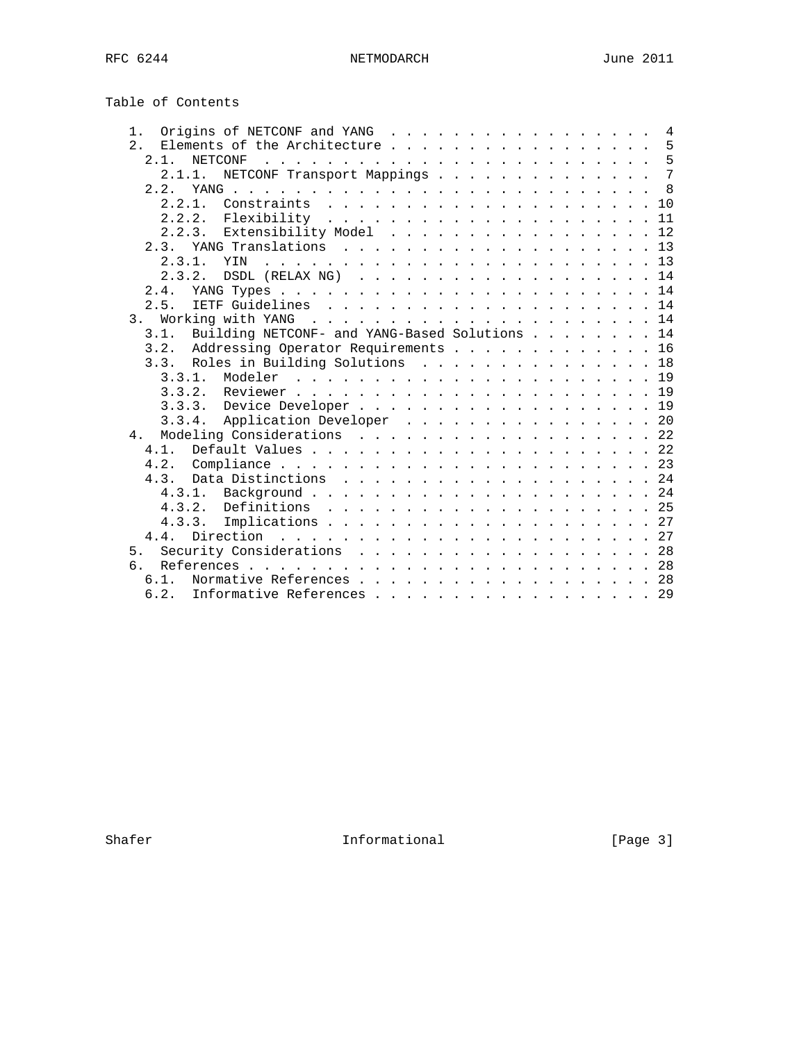Table of Contents

| Origins of NETCONF and YANG<br>1.                  |  |  |  |  | 4  |
|----------------------------------------------------|--|--|--|--|----|
| 2.1<br>Elements of the Architecture                |  |  |  |  | 5  |
| $2 \t1$<br><b>NETCONF</b>                          |  |  |  |  |    |
| NETCONF Transport Mappings 7<br>2.1.1.             |  |  |  |  |    |
| 2.2.<br>YANG.                                      |  |  |  |  | 8  |
|                                                    |  |  |  |  |    |
|                                                    |  |  |  |  | 11 |
| 2.2.3. Extensibility Model 12                      |  |  |  |  |    |
| YANG Translations 13<br>2.3.                       |  |  |  |  |    |
| 2.3.1.<br>YIN                                      |  |  |  |  |    |
| 2.3.2.<br>DSDL (RELAX NG) 14                       |  |  |  |  |    |
| 2.4.                                               |  |  |  |  |    |
| 2.5.                                               |  |  |  |  |    |
| Working with YANG $\ldots$ , 14<br>3 <sub>1</sub>  |  |  |  |  |    |
| 3.1. Building NETCONF- and YANG-Based Solutions 14 |  |  |  |  |    |
| 3.2. Addressing Operator Requirements 16           |  |  |  |  |    |
| 3.3. Roles in Building Solutions 18                |  |  |  |  |    |
| 3.3.1.                                             |  |  |  |  |    |
|                                                    |  |  |  |  |    |
|                                                    |  |  |  |  |    |
| 3.3.3. Device Developer 19                         |  |  |  |  |    |
| 3.3.4. Application Developer 20                    |  |  |  |  |    |
| Modeling Considerations 22<br>4.                   |  |  |  |  |    |
| 4 1                                                |  |  |  |  |    |
|                                                    |  |  |  |  |    |
|                                                    |  |  |  |  |    |
|                                                    |  |  |  |  |    |
| 4.3.2.                                             |  |  |  |  |    |
| 4, 3, 3,                                           |  |  |  |  |    |
| 4 4                                                |  |  |  |  |    |
| Security Considerations 28<br>5 <sub>1</sub>       |  |  |  |  |    |
| რ :                                                |  |  |  |  |    |
| Normative References 28<br>6.1.                    |  |  |  |  |    |
| 6.2. Informative References 29                     |  |  |  |  |    |

Shafer Informational [Page 3]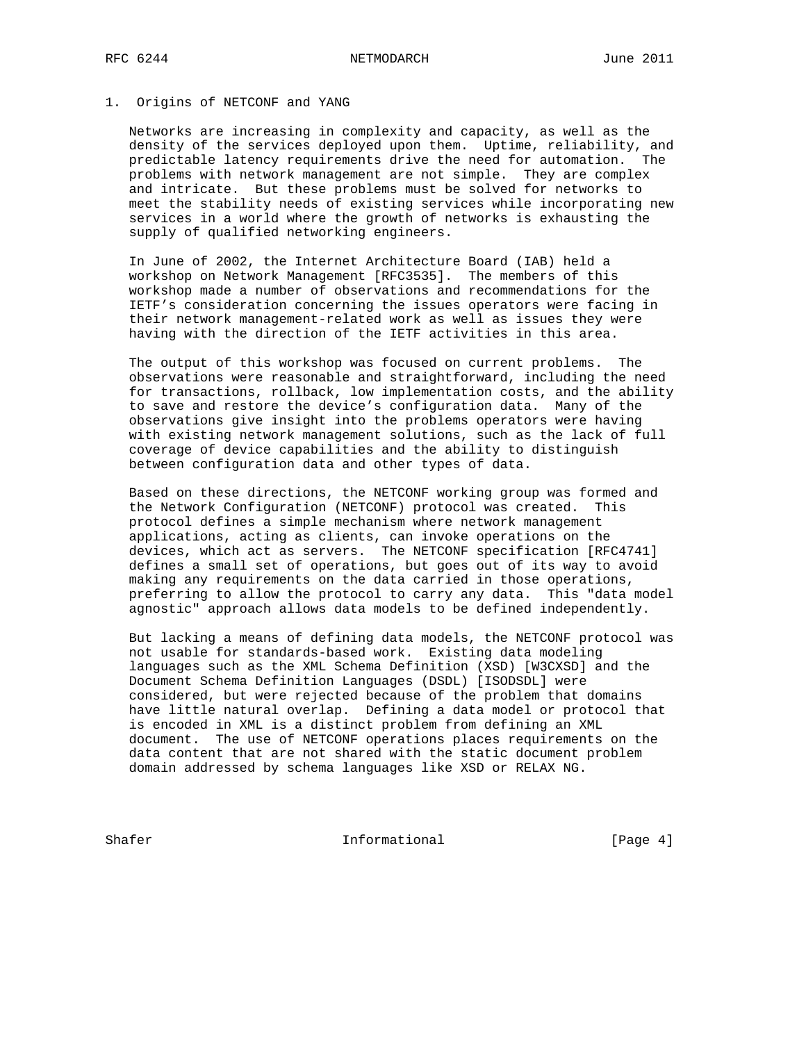#### 1. Origins of NETCONF and YANG

 Networks are increasing in complexity and capacity, as well as the density of the services deployed upon them. Uptime, reliability, and predictable latency requirements drive the need for automation. The problems with network management are not simple. They are complex and intricate. But these problems must be solved for networks to meet the stability needs of existing services while incorporating new services in a world where the growth of networks is exhausting the supply of qualified networking engineers.

 In June of 2002, the Internet Architecture Board (IAB) held a workshop on Network Management [RFC3535]. The members of this workshop made a number of observations and recommendations for the IETF's consideration concerning the issues operators were facing in their network management-related work as well as issues they were having with the direction of the IETF activities in this area.

 The output of this workshop was focused on current problems. The observations were reasonable and straightforward, including the need for transactions, rollback, low implementation costs, and the ability to save and restore the device's configuration data. Many of the observations give insight into the problems operators were having with existing network management solutions, such as the lack of full coverage of device capabilities and the ability to distinguish between configuration data and other types of data.

 Based on these directions, the NETCONF working group was formed and the Network Configuration (NETCONF) protocol was created. This protocol defines a simple mechanism where network management applications, acting as clients, can invoke operations on the devices, which act as servers. The NETCONF specification [RFC4741] defines a small set of operations, but goes out of its way to avoid making any requirements on the data carried in those operations, preferring to allow the protocol to carry any data. This "data model agnostic" approach allows data models to be defined independently.

 But lacking a means of defining data models, the NETCONF protocol was not usable for standards-based work. Existing data modeling languages such as the XML Schema Definition (XSD) [W3CXSD] and the Document Schema Definition Languages (DSDL) [ISODSDL] were considered, but were rejected because of the problem that domains have little natural overlap. Defining a data model or protocol that is encoded in XML is a distinct problem from defining an XML document. The use of NETCONF operations places requirements on the data content that are not shared with the static document problem domain addressed by schema languages like XSD or RELAX NG.

Shafer Informational [Page 4]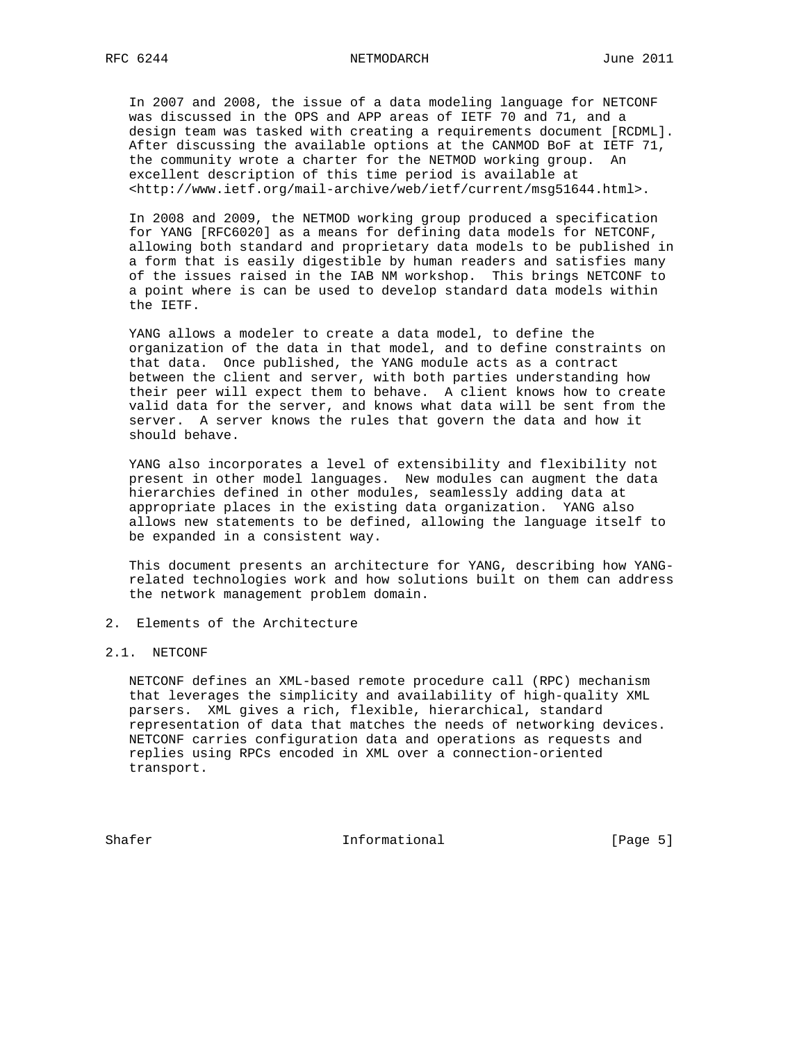In 2007 and 2008, the issue of a data modeling language for NETCONF was discussed in the OPS and APP areas of IETF 70 and 71, and a design team was tasked with creating a requirements document [RCDML]. After discussing the available options at the CANMOD BoF at IETF 71, the community wrote a charter for the NETMOD working group. An excellent description of this time period is available at <http://www.ietf.org/mail-archive/web/ietf/current/msg51644.html>.

 In 2008 and 2009, the NETMOD working group produced a specification for YANG [RFC6020] as a means for defining data models for NETCONF, allowing both standard and proprietary data models to be published in a form that is easily digestible by human readers and satisfies many of the issues raised in the IAB NM workshop. This brings NETCONF to a point where is can be used to develop standard data models within the IETF.

 YANG allows a modeler to create a data model, to define the organization of the data in that model, and to define constraints on that data. Once published, the YANG module acts as a contract between the client and server, with both parties understanding how their peer will expect them to behave. A client knows how to create valid data for the server, and knows what data will be sent from the server. A server knows the rules that govern the data and how it should behave.

 YANG also incorporates a level of extensibility and flexibility not present in other model languages. New modules can augment the data hierarchies defined in other modules, seamlessly adding data at appropriate places in the existing data organization. YANG also allows new statements to be defined, allowing the language itself to be expanded in a consistent way.

 This document presents an architecture for YANG, describing how YANG related technologies work and how solutions built on them can address the network management problem domain.

2. Elements of the Architecture

# 2.1. NETCONF

 NETCONF defines an XML-based remote procedure call (RPC) mechanism that leverages the simplicity and availability of high-quality XML parsers. XML gives a rich, flexible, hierarchical, standard representation of data that matches the needs of networking devices. NETCONF carries configuration data and operations as requests and replies using RPCs encoded in XML over a connection-oriented transport.

Shafer Informational [Page 5]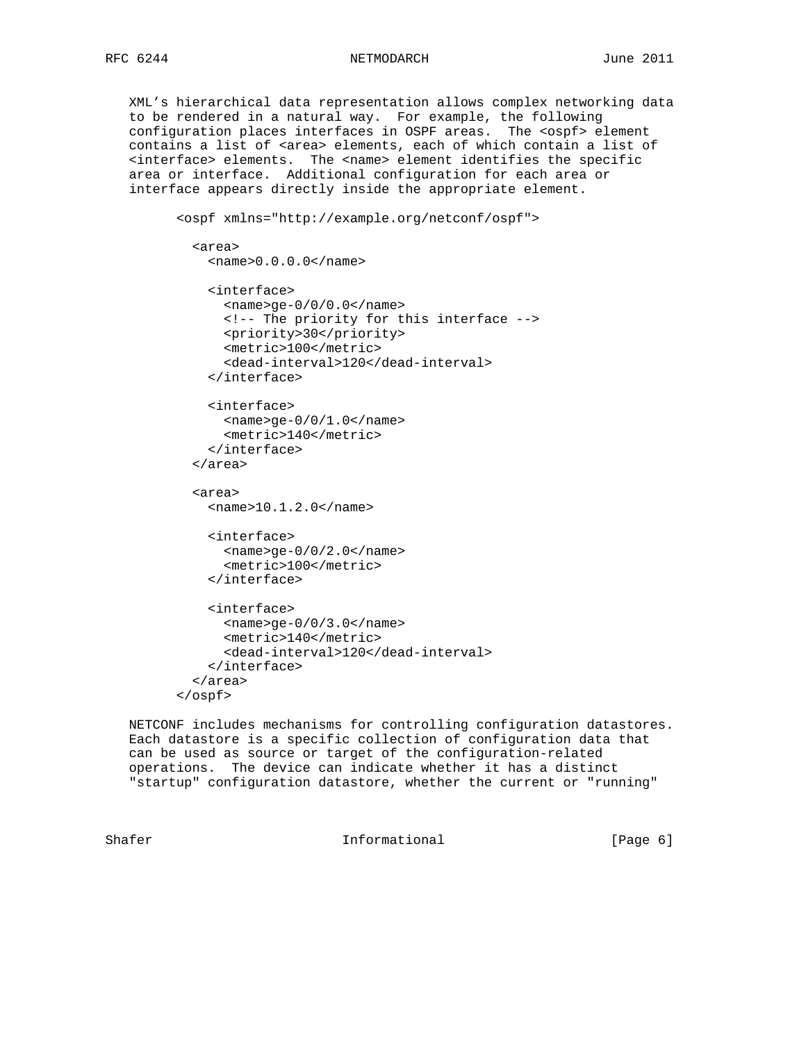XML's hierarchical data representation allows complex networking data to be rendered in a natural way. For example, the following configuration places interfaces in OSPF areas. The <ospf> element contains a list of <area> elements, each of which contain a list of <interface> elements. The <name> element identifies the specific area or interface. Additional configuration for each area or interface appears directly inside the appropriate element.

```
 <ospf xmlns="http://example.org/netconf/ospf">
  <area>
   <name>0.0.0.0</name> <interface>
      <name>ge-0/0/0.0</name>
      <!-- The priority for this interface -->
      <priority>30</priority>
      <metric>100</metric>
      <dead-interval>120</dead-interval>
    </interface>
    <interface>
     <name>ge-0/0/1.0</name>
      <metric>140</metric>
    </interface>
  </area>
  <area>
    <name>10.1.2.0</name>
    <interface>
     <name>ge-0/0/2.0</name>
      <metric>100</metric>
    </interface>
    <interface>
      <name>ge-0/0/3.0</name>
      <metric>140</metric>
      <dead-interval>120</dead-interval>
    </interface>
  </area>
</ospf>
```
 NETCONF includes mechanisms for controlling configuration datastores. Each datastore is a specific collection of configuration data that can be used as source or target of the configuration-related operations. The device can indicate whether it has a distinct "startup" configuration datastore, whether the current or "running"

Shafer **Informational Informational** [Page 6]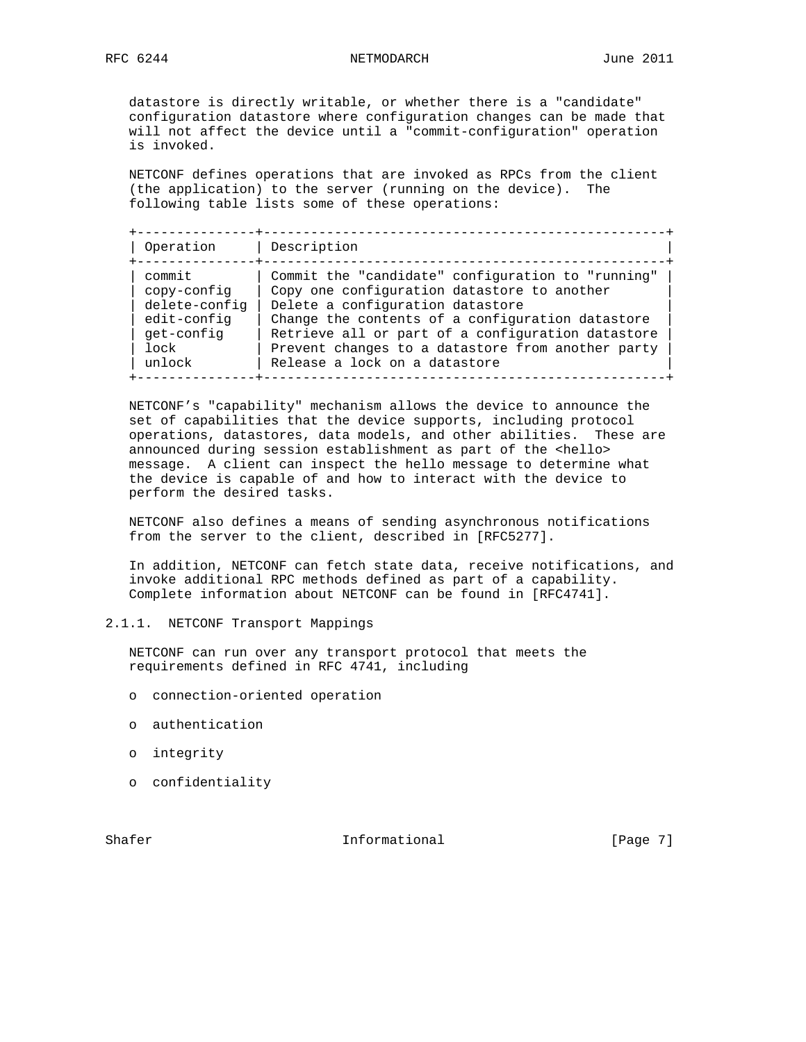datastore is directly writable, or whether there is a "candidate" configuration datastore where configuration changes can be made that will not affect the device until a "commit-configuration" operation is invoked.

 NETCONF defines operations that are invoked as RPCs from the client (the application) to the server (running on the device). The following table lists some of these operations:

 +---------------+---------------------------------------------------+ | Operation | Description | +---------------+---------------------------------------------------+ | commit | Commit the "candidate" configuration to "running" |  $|$  copy-config  $|$  Copy one configuration datastore to another  $|$  | delete-config | Delete a configuration datastore | | edit-config | Change the contents of a configuration datastore | | get-config | Retrieve all or part of a configuration datastore | | lock | Prevent changes to a datastore from another party | | unlock | Release a lock on a datastore | +---------------+---------------------------------------------------+

 NETCONF's "capability" mechanism allows the device to announce the set of capabilities that the device supports, including protocol operations, datastores, data models, and other abilities. These are announced during session establishment as part of the <hello> message. A client can inspect the hello message to determine what the device is capable of and how to interact with the device to perform the desired tasks.

 NETCONF also defines a means of sending asynchronous notifications from the server to the client, described in [RFC5277].

 In addition, NETCONF can fetch state data, receive notifications, and invoke additional RPC methods defined as part of a capability. Complete information about NETCONF can be found in [RFC4741].

# 2.1.1. NETCONF Transport Mappings

 NETCONF can run over any transport protocol that meets the requirements defined in RFC 4741, including

- o connection-oriented operation
- o authentication
- o integrity
- o confidentiality

Shafer **Informational Informational** [Page 7]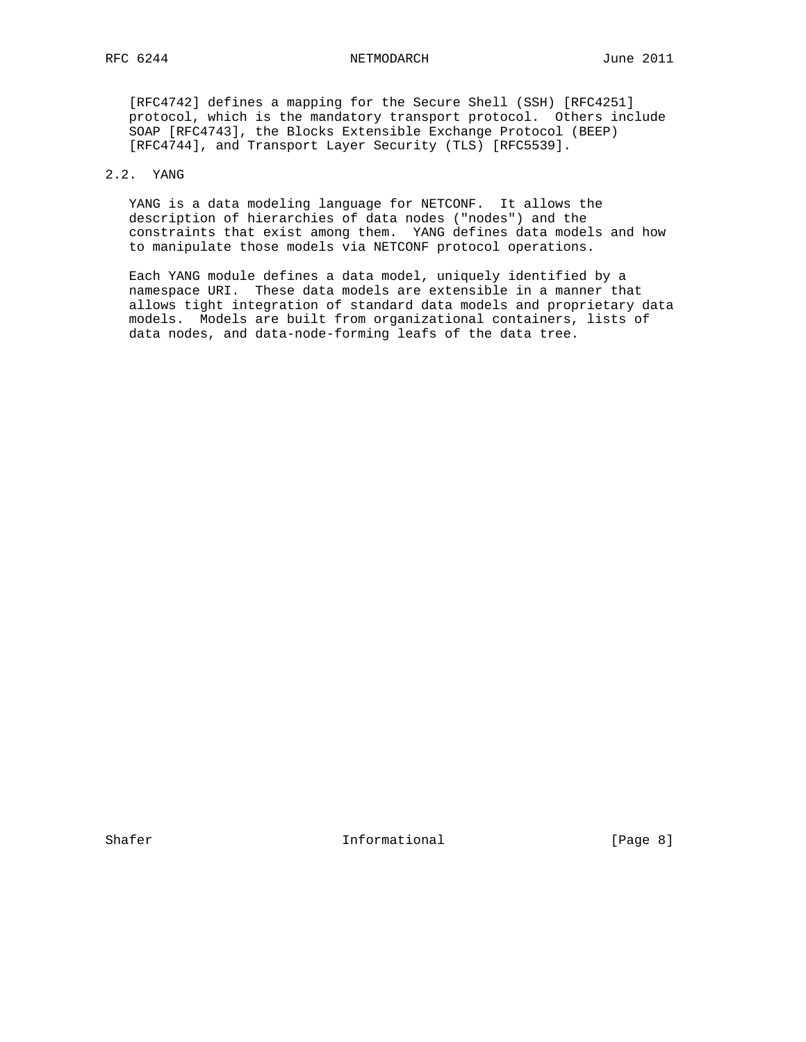[RFC4742] defines a mapping for the Secure Shell (SSH) [RFC4251] protocol, which is the mandatory transport protocol. Others include SOAP [RFC4743], the Blocks Extensible Exchange Protocol (BEEP) [RFC4744], and Transport Layer Security (TLS) [RFC5539].

# 2.2. YANG

 YANG is a data modeling language for NETCONF. It allows the description of hierarchies of data nodes ("nodes") and the constraints that exist among them. YANG defines data models and how to manipulate those models via NETCONF protocol operations.

 Each YANG module defines a data model, uniquely identified by a namespace URI. These data models are extensible in a manner that allows tight integration of standard data models and proprietary data models. Models are built from organizational containers, lists of data nodes, and data-node-forming leafs of the data tree.

Shafer **Informational Informational** [Page 8]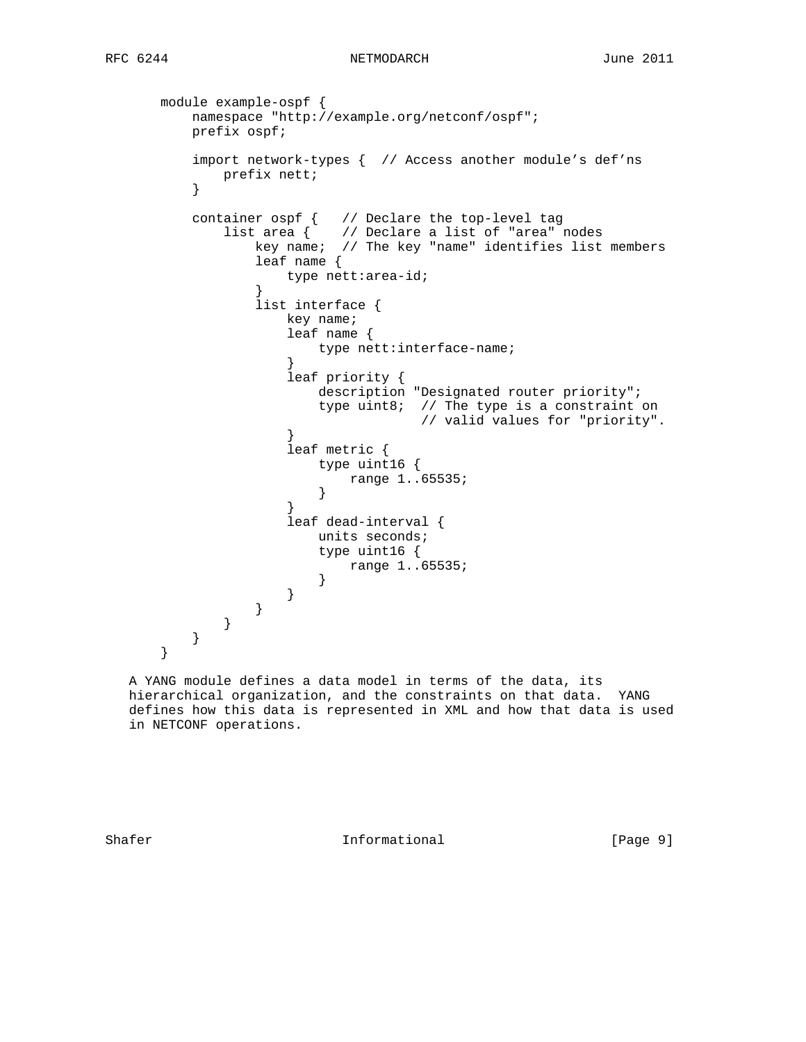```
 module example-ospf {
        namespace "http://example.org/netconf/ospf";
        prefix ospf;
        import network-types { // Access another module's def'ns
       prefix nett;
}
        container ospf { // Declare the top-level tag
list area { // Declare a list of "area" nodes
key name; // The key "name" identifies list members
               leaf name {
                 type nett:area-id;
}
               list interface {
                 key name;
                  leaf name {
                    type nett:interface-name;
}
                  leaf priority {
                     description "Designated router priority";
                     type uint8; // The type is a constraint on
                               // valid values for "priority".
}
                  leaf metric {
                     type uint16 {
                        range 1..65535;
}
}
                  leaf dead-interval {
                    units seconds;
                     type uint16 {
                    range 1..65535;<br>}
}
}
              }
          }
       }
     }
```
 A YANG module defines a data model in terms of the data, its hierarchical organization, and the constraints on that data. YANG defines how this data is represented in XML and how that data is used in NETCONF operations.

Shafer **Informational** [Page 9]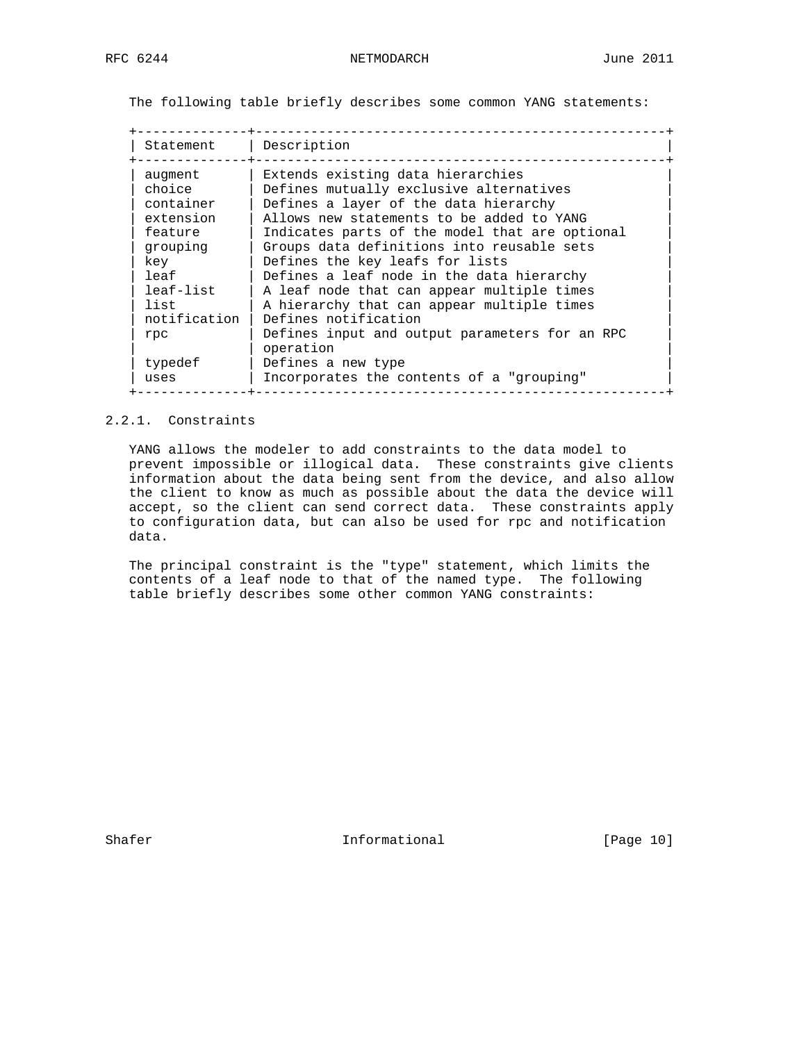The following table briefly describes some common YANG statements:

| Statement    | Description                                    |
|--------------|------------------------------------------------|
| augment      | Extends existing data hierarchies              |
| choice       | Defines mutually exclusive alternatives        |
| container    | Defines a layer of the data hierarchy          |
| extension    | Allows new statements to be added to YANG      |
| feature      | Indicates parts of the model that are optional |
| grouping     | Groups data definitions into reusable sets     |
| key          | Defines the key leafs for lists                |
| leaf         | Defines a leaf node in the data hierarchy      |
| leaf-list    | A leaf node that can appear multiple times     |
| list         | A hierarchy that can appear multiple times     |
| notification | Defines notification                           |
| rpc          | Defines input and output parameters for an RPC |
|              | operation                                      |
| typedef      | Defines a new type                             |
| uses         | Incorporates the contents of a "grouping"      |

# 2.2.1. Constraints

 YANG allows the modeler to add constraints to the data model to prevent impossible or illogical data. These constraints give clients information about the data being sent from the device, and also allow the client to know as much as possible about the data the device will accept, so the client can send correct data. These constraints apply to configuration data, but can also be used for rpc and notification data.

 The principal constraint is the "type" statement, which limits the contents of a leaf node to that of the named type. The following table briefly describes some other common YANG constraints:

Shafer **Informational** [Page 10]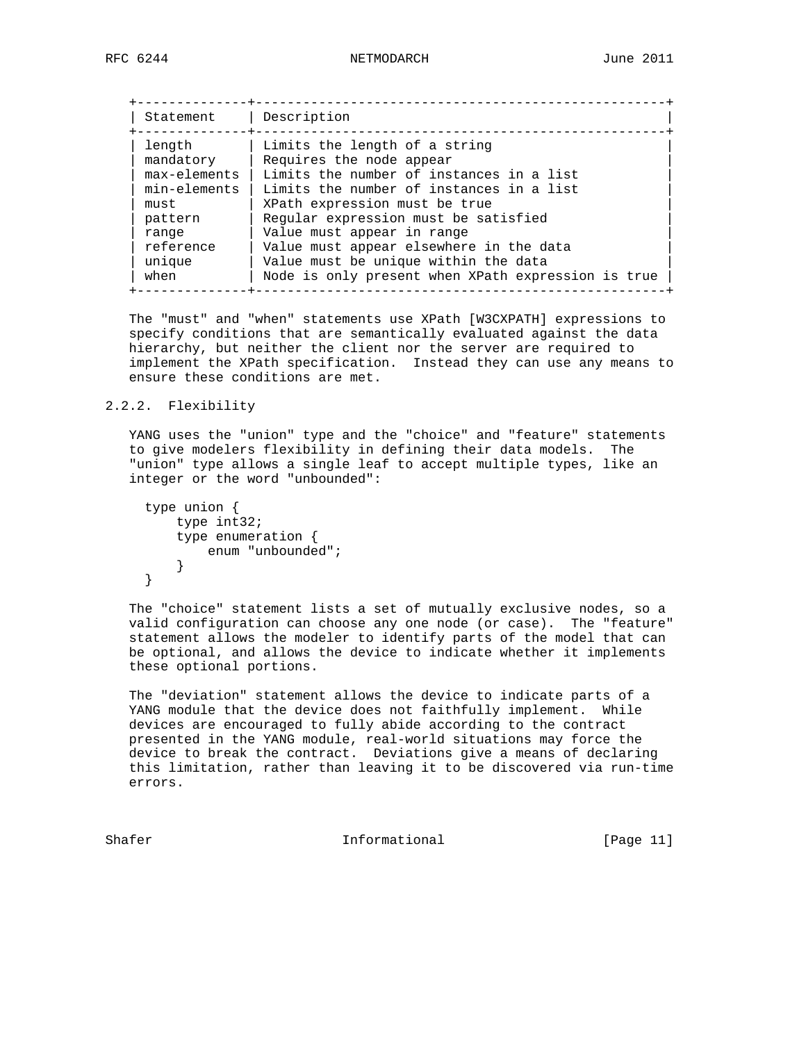| Statement           | Description                                               |
|---------------------|-----------------------------------------------------------|
| length<br>mandatory | Limits the length of a string<br>Requires the node appear |
| max-elements        | Limits the number of instances in a list                  |
| min-elements        | Limits the number of instances in a list                  |
| must                | XPath expression must be true                             |
| pattern             | Regular expression must be satisfied                      |
| range               | Value must appear in range                                |
| reference           | Value must appear elsewhere in the data                   |
| unique              | Value must be unique within the data                      |
| when                | Node is only present when XPath expression is true        |

 The "must" and "when" statements use XPath [W3CXPATH] expressions to specify conditions that are semantically evaluated against the data hierarchy, but neither the client nor the server are required to implement the XPath specification. Instead they can use any means to ensure these conditions are met.

## 2.2.2. Flexibility

 YANG uses the "union" type and the "choice" and "feature" statements to give modelers flexibility in defining their data models. The "union" type allows a single leaf to accept multiple types, like an integer or the word "unbounded":

```
 type union {
   type int32;
    type enumeration {
      enum "unbounded";
    }
}
```
 The "choice" statement lists a set of mutually exclusive nodes, so a valid configuration can choose any one node (or case). The "feature" statement allows the modeler to identify parts of the model that can be optional, and allows the device to indicate whether it implements these optional portions.

 The "deviation" statement allows the device to indicate parts of a YANG module that the device does not faithfully implement. While devices are encouraged to fully abide according to the contract presented in the YANG module, real-world situations may force the device to break the contract. Deviations give a means of declaring this limitation, rather than leaving it to be discovered via run-time errors.

Shafer Informational [Page 11]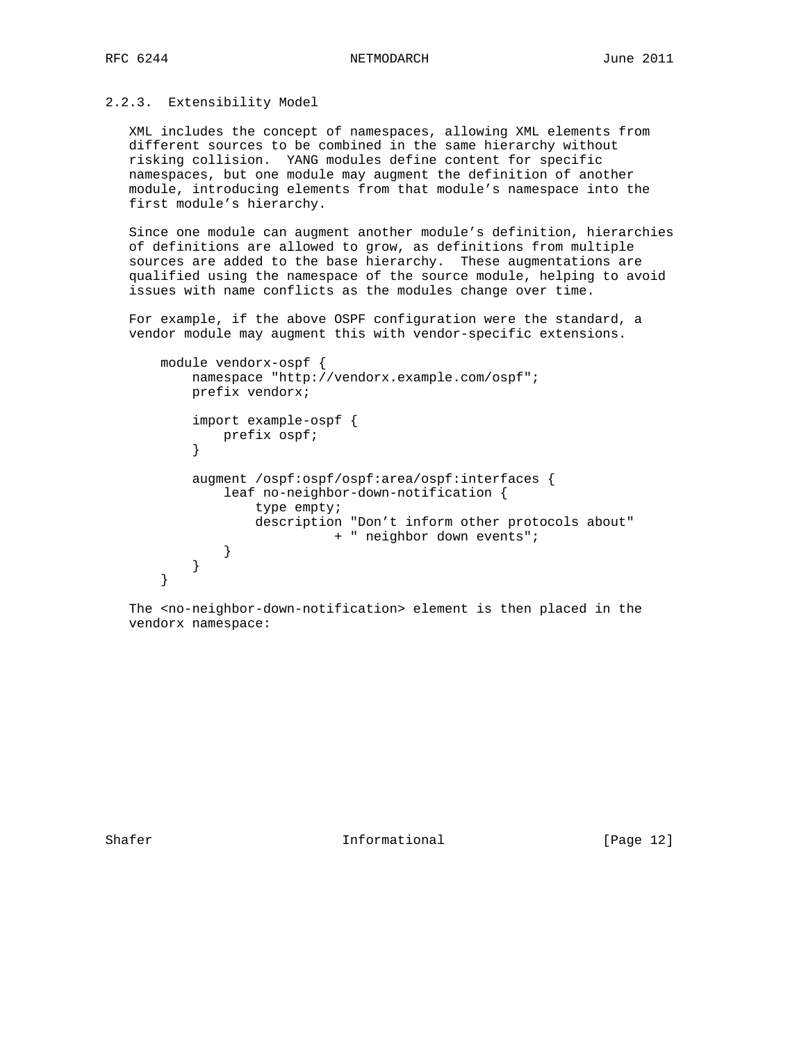## 2.2.3. Extensibility Model

 XML includes the concept of namespaces, allowing XML elements from different sources to be combined in the same hierarchy without risking collision. YANG modules define content for specific namespaces, but one module may augment the definition of another module, introducing elements from that module's namespace into the first module's hierarchy.

 Since one module can augment another module's definition, hierarchies of definitions are allowed to grow, as definitions from multiple sources are added to the base hierarchy. These augmentations are qualified using the namespace of the source module, helping to avoid issues with name conflicts as the modules change over time.

 For example, if the above OSPF configuration were the standard, a vendor module may augment this with vendor-specific extensions.

```
 module vendorx-ospf {
          namespace "http://vendorx.example.com/ospf";
          prefix vendorx;
          import example-ospf {
         prefix ospf;<br>}
}
          augment /ospf:ospf/ospf:area/ospf:interfaces {
              leaf no-neighbor-down-notification {
                 type empty;
                 description "Don't inform other protocols about"
                          + " neighbor down events";
}
}
      }
```
 The <no-neighbor-down-notification> element is then placed in the vendorx namespace:

Shafer **Informational** [Page 12]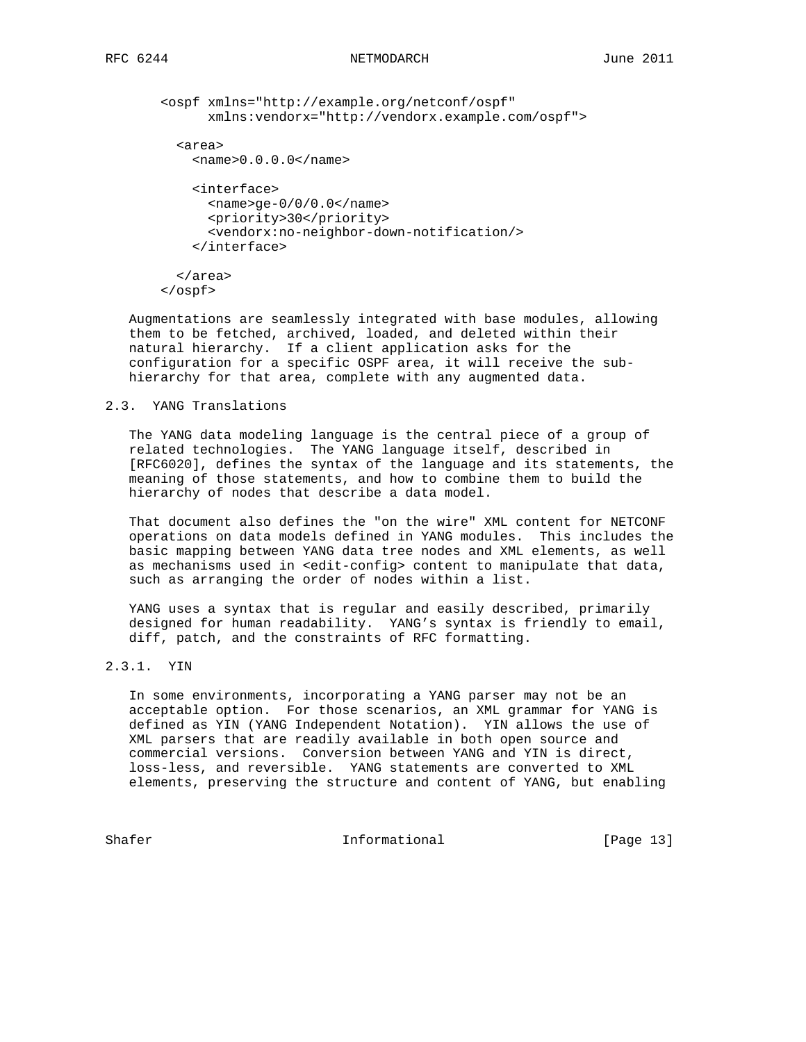```
 <ospf xmlns="http://example.org/netconf/ospf"
      xmlns:vendorx="http://vendorx.example.com/ospf">
  <area>
    <name>0.0.0.0</name>
    <interface>
     <name>ge-0/0/0.0</name>
      <priority>30</priority>
      <vendorx:no-neighbor-down-notification/>
    </interface>
  </area>
</ospf>
```
 Augmentations are seamlessly integrated with base modules, allowing them to be fetched, archived, loaded, and deleted within their natural hierarchy. If a client application asks for the configuration for a specific OSPF area, it will receive the sub hierarchy for that area, complete with any augmented data.

## 2.3. YANG Translations

 The YANG data modeling language is the central piece of a group of related technologies. The YANG language itself, described in [RFC6020], defines the syntax of the language and its statements, the meaning of those statements, and how to combine them to build the hierarchy of nodes that describe a data model.

 That document also defines the "on the wire" XML content for NETCONF operations on data models defined in YANG modules. This includes the basic mapping between YANG data tree nodes and XML elements, as well as mechanisms used in <edit-config> content to manipulate that data, such as arranging the order of nodes within a list.

 YANG uses a syntax that is regular and easily described, primarily designed for human readability. YANG's syntax is friendly to email, diff, patch, and the constraints of RFC formatting.

# 2.3.1. YIN

 In some environments, incorporating a YANG parser may not be an acceptable option. For those scenarios, an XML grammar for YANG is defined as YIN (YANG Independent Notation). YIN allows the use of XML parsers that are readily available in both open source and commercial versions. Conversion between YANG and YIN is direct, loss-less, and reversible. YANG statements are converted to XML elements, preserving the structure and content of YANG, but enabling

Shafer **Informational** [Page 13]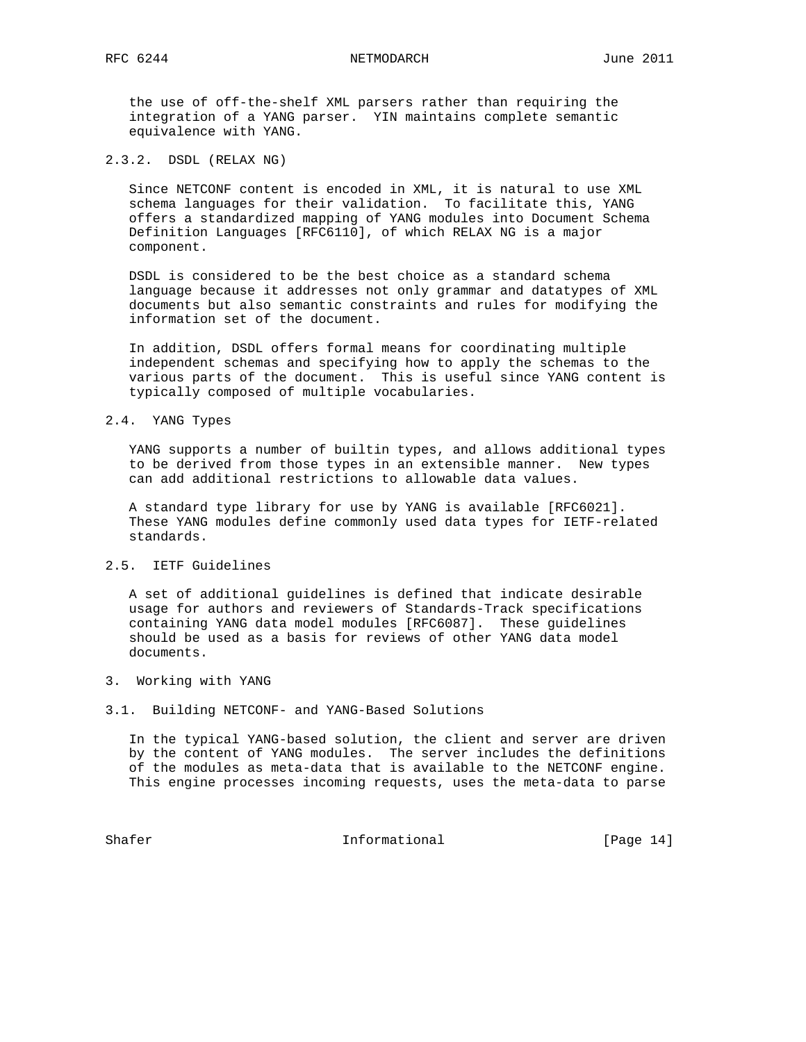the use of off-the-shelf XML parsers rather than requiring the integration of a YANG parser. YIN maintains complete semantic equivalence with YANG.

#### 2.3.2. DSDL (RELAX NG)

 Since NETCONF content is encoded in XML, it is natural to use XML schema languages for their validation. To facilitate this, YANG offers a standardized mapping of YANG modules into Document Schema Definition Languages [RFC6110], of which RELAX NG is a major component.

 DSDL is considered to be the best choice as a standard schema language because it addresses not only grammar and datatypes of XML documents but also semantic constraints and rules for modifying the information set of the document.

 In addition, DSDL offers formal means for coordinating multiple independent schemas and specifying how to apply the schemas to the various parts of the document. This is useful since YANG content is typically composed of multiple vocabularies.

### 2.4. YANG Types

 YANG supports a number of builtin types, and allows additional types to be derived from those types in an extensible manner. New types can add additional restrictions to allowable data values.

 A standard type library for use by YANG is available [RFC6021]. These YANG modules define commonly used data types for IETF-related standards.

# 2.5. IETF Guidelines

 A set of additional guidelines is defined that indicate desirable usage for authors and reviewers of Standards-Track specifications containing YANG data model modules [RFC6087]. These guidelines should be used as a basis for reviews of other YANG data model documents.

#### 3. Working with YANG

#### 3.1. Building NETCONF- and YANG-Based Solutions

 In the typical YANG-based solution, the client and server are driven by the content of YANG modules. The server includes the definitions of the modules as meta-data that is available to the NETCONF engine. This engine processes incoming requests, uses the meta-data to parse

Shafer Informational [Page 14]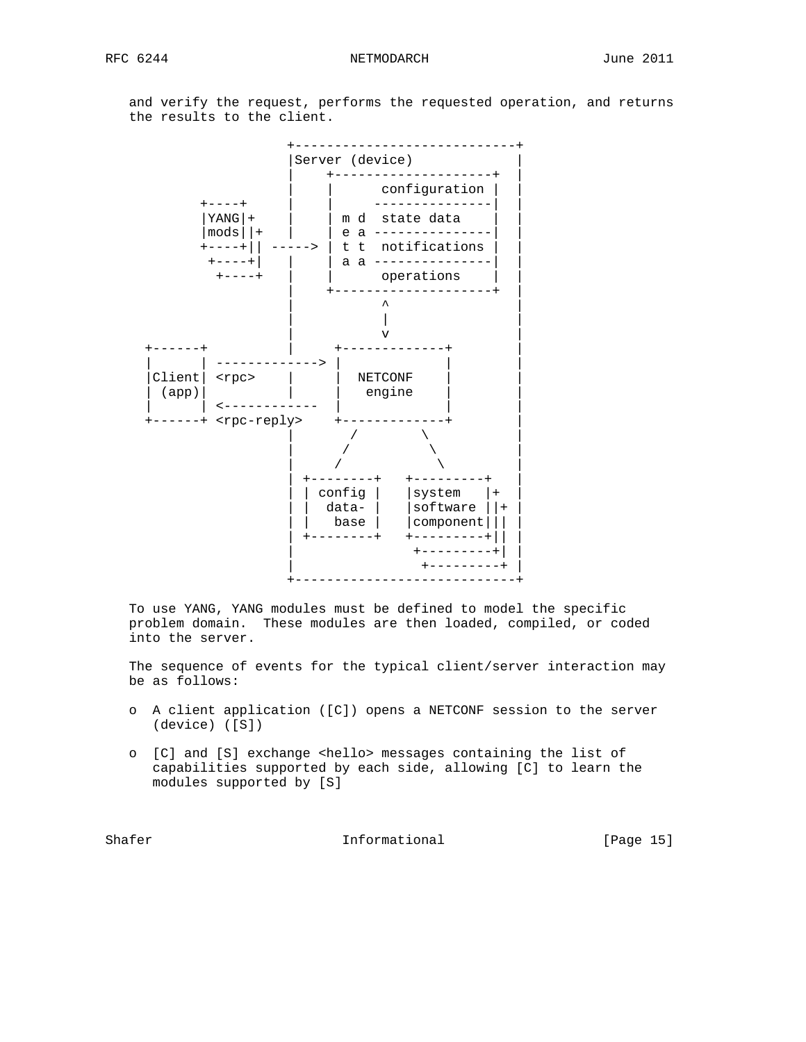and verify the request, performs the requested operation, and returns the results to the client.



 To use YANG, YANG modules must be defined to model the specific problem domain. These modules are then loaded, compiled, or coded into the server.

 The sequence of events for the typical client/server interaction may be as follows:

- o A client application ([C]) opens a NETCONF session to the server (device) ([S])
- o [C] and [S] exchange <hello> messages containing the list of capabilities supported by each side, allowing [C] to learn the modules supported by [S]

Shafer **Informational** [Page 15]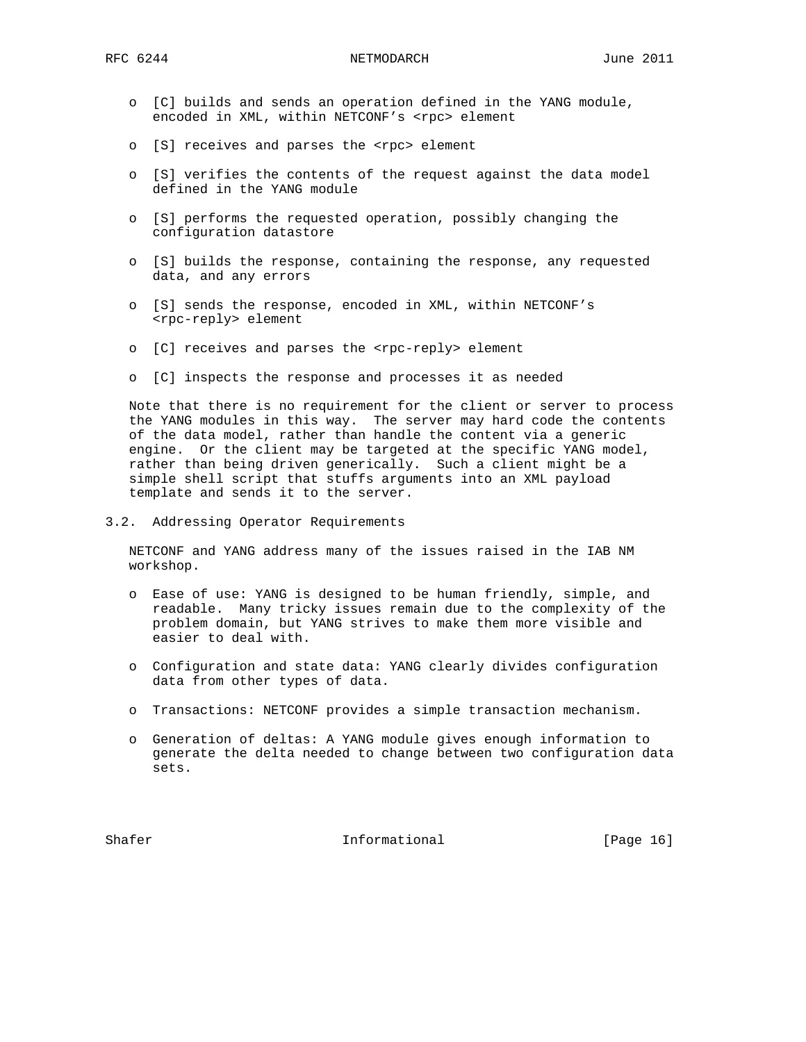- o [C] builds and sends an operation defined in the YANG module, encoded in XML, within NETCONF's <rpc> element
- o [S] receives and parses the <rpc> element
- o [S] verifies the contents of the request against the data model defined in the YANG module
- o [S] performs the requested operation, possibly changing the configuration datastore
- o [S] builds the response, containing the response, any requested data, and any errors
- o [S] sends the response, encoded in XML, within NETCONF's <rpc-reply> element
- o [C] receives and parses the <rpc-reply> element
- o [C] inspects the response and processes it as needed

 Note that there is no requirement for the client or server to process the YANG modules in this way. The server may hard code the contents of the data model, rather than handle the content via a generic engine. Or the client may be targeted at the specific YANG model, rather than being driven generically. Such a client might be a simple shell script that stuffs arguments into an XML payload template and sends it to the server.

3.2. Addressing Operator Requirements

 NETCONF and YANG address many of the issues raised in the IAB NM workshop.

- o Ease of use: YANG is designed to be human friendly, simple, and readable. Many tricky issues remain due to the complexity of the problem domain, but YANG strives to make them more visible and easier to deal with.
- o Configuration and state data: YANG clearly divides configuration data from other types of data.
- o Transactions: NETCONF provides a simple transaction mechanism.
- o Generation of deltas: A YANG module gives enough information to generate the delta needed to change between two configuration data sets.

Shafer Informational [Page 16]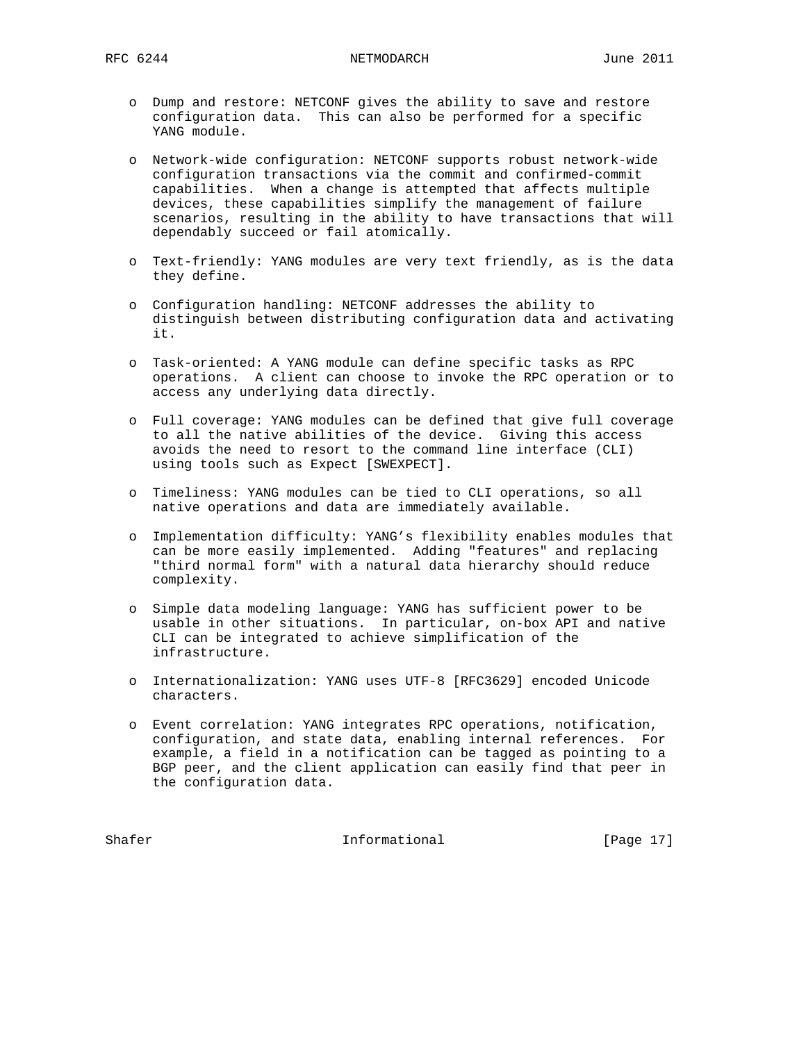- o Dump and restore: NETCONF gives the ability to save and restore configuration data. This can also be performed for a specific YANG module.
- o Network-wide configuration: NETCONF supports robust network-wide configuration transactions via the commit and confirmed-commit capabilities. When a change is attempted that affects multiple devices, these capabilities simplify the management of failure scenarios, resulting in the ability to have transactions that will dependably succeed or fail atomically.
- o Text-friendly: YANG modules are very text friendly, as is the data they define.
- o Configuration handling: NETCONF addresses the ability to distinguish between distributing configuration data and activating it.
- o Task-oriented: A YANG module can define specific tasks as RPC operations. A client can choose to invoke the RPC operation or to access any underlying data directly.
- o Full coverage: YANG modules can be defined that give full coverage to all the native abilities of the device. Giving this access avoids the need to resort to the command line interface (CLI) using tools such as Expect [SWEXPECT].
- o Timeliness: YANG modules can be tied to CLI operations, so all native operations and data are immediately available.
- o Implementation difficulty: YANG's flexibility enables modules that can be more easily implemented. Adding "features" and replacing "third normal form" with a natural data hierarchy should reduce complexity.
- o Simple data modeling language: YANG has sufficient power to be usable in other situations. In particular, on-box API and native CLI can be integrated to achieve simplification of the infrastructure.
- o Internationalization: YANG uses UTF-8 [RFC3629] encoded Unicode characters.
- o Event correlation: YANG integrates RPC operations, notification, configuration, and state data, enabling internal references. For example, a field in a notification can be tagged as pointing to a BGP peer, and the client application can easily find that peer in the configuration data.

Shafer Informational [Page 17]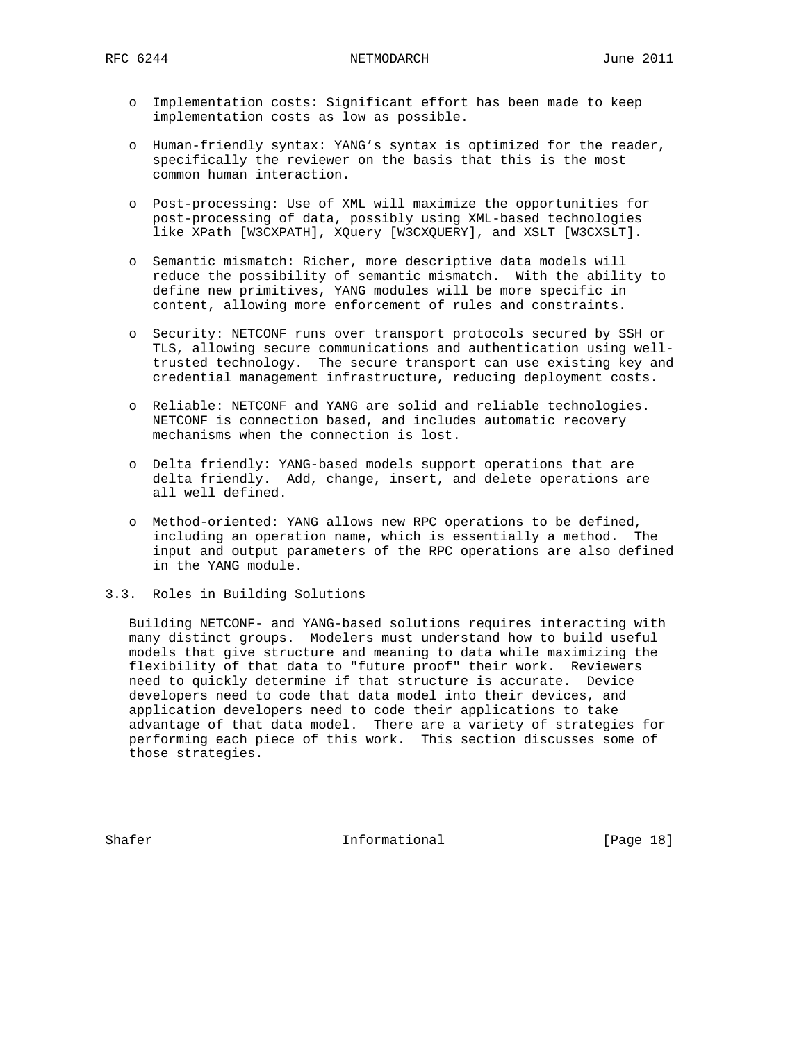- o Implementation costs: Significant effort has been made to keep implementation costs as low as possible.
- o Human-friendly syntax: YANG's syntax is optimized for the reader, specifically the reviewer on the basis that this is the most common human interaction.
- o Post-processing: Use of XML will maximize the opportunities for post-processing of data, possibly using XML-based technologies like XPath [W3CXPATH], XQuery [W3CXQUERY], and XSLT [W3CXSLT].
- o Semantic mismatch: Richer, more descriptive data models will reduce the possibility of semantic mismatch. With the ability to define new primitives, YANG modules will be more specific in content, allowing more enforcement of rules and constraints.
- o Security: NETCONF runs over transport protocols secured by SSH or TLS, allowing secure communications and authentication using well trusted technology. The secure transport can use existing key and credential management infrastructure, reducing deployment costs.
- o Reliable: NETCONF and YANG are solid and reliable technologies. NETCONF is connection based, and includes automatic recovery mechanisms when the connection is lost.
- o Delta friendly: YANG-based models support operations that are delta friendly. Add, change, insert, and delete operations are all well defined.
- o Method-oriented: YANG allows new RPC operations to be defined, including an operation name, which is essentially a method. The input and output parameters of the RPC operations are also defined in the YANG module.
- 3.3. Roles in Building Solutions

 Building NETCONF- and YANG-based solutions requires interacting with many distinct groups. Modelers must understand how to build useful models that give structure and meaning to data while maximizing the flexibility of that data to "future proof" their work. Reviewers need to quickly determine if that structure is accurate. Device developers need to code that data model into their devices, and application developers need to code their applications to take advantage of that data model. There are a variety of strategies for performing each piece of this work. This section discusses some of those strategies.

Shafer **Informational** [Page 18]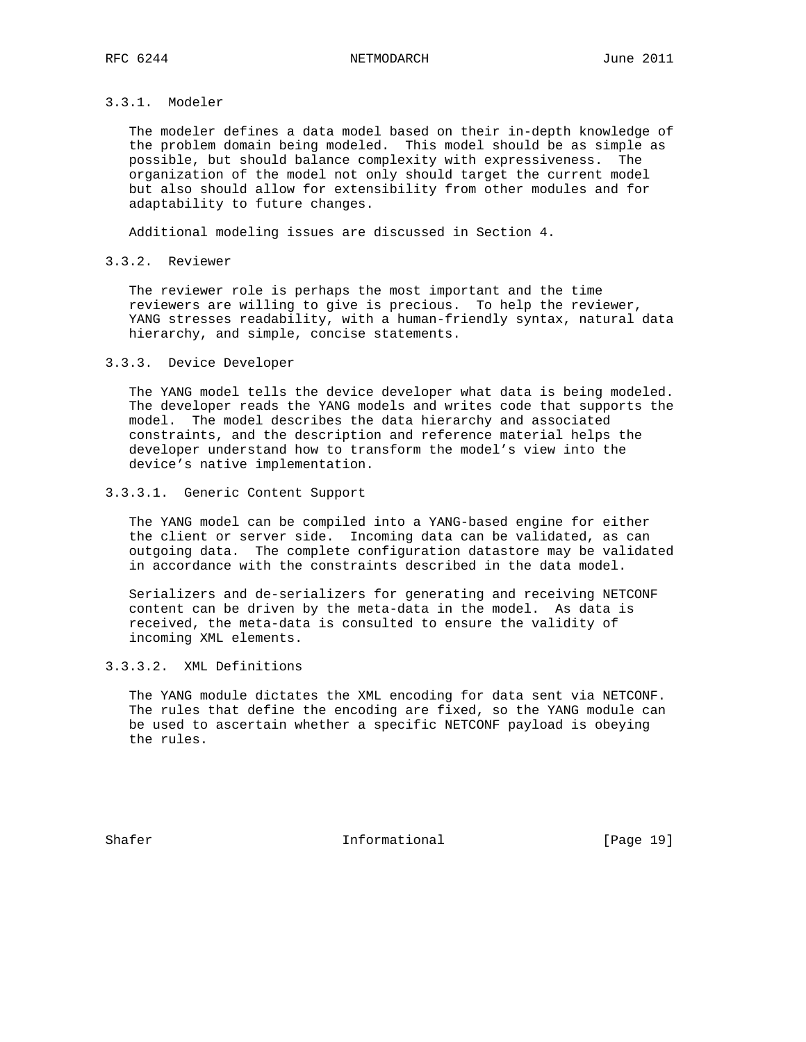# 3.3.1. Modeler

 The modeler defines a data model based on their in-depth knowledge of the problem domain being modeled. This model should be as simple as possible, but should balance complexity with expressiveness. The organization of the model not only should target the current model but also should allow for extensibility from other modules and for adaptability to future changes.

Additional modeling issues are discussed in Section 4.

## 3.3.2. Reviewer

 The reviewer role is perhaps the most important and the time reviewers are willing to give is precious. To help the reviewer, YANG stresses readability, with a human-friendly syntax, natural data hierarchy, and simple, concise statements.

#### 3.3.3. Device Developer

 The YANG model tells the device developer what data is being modeled. The developer reads the YANG models and writes code that supports the model. The model describes the data hierarchy and associated constraints, and the description and reference material helps the developer understand how to transform the model's view into the device's native implementation.

## 3.3.3.1. Generic Content Support

 The YANG model can be compiled into a YANG-based engine for either the client or server side. Incoming data can be validated, as can outgoing data. The complete configuration datastore may be validated in accordance with the constraints described in the data model.

 Serializers and de-serializers for generating and receiving NETCONF content can be driven by the meta-data in the model. As data is received, the meta-data is consulted to ensure the validity of incoming XML elements.

## 3.3.3.2. XML Definitions

 The YANG module dictates the XML encoding for data sent via NETCONF. The rules that define the encoding are fixed, so the YANG module can be used to ascertain whether a specific NETCONF payload is obeying the rules.

Shafer Informational [Page 19]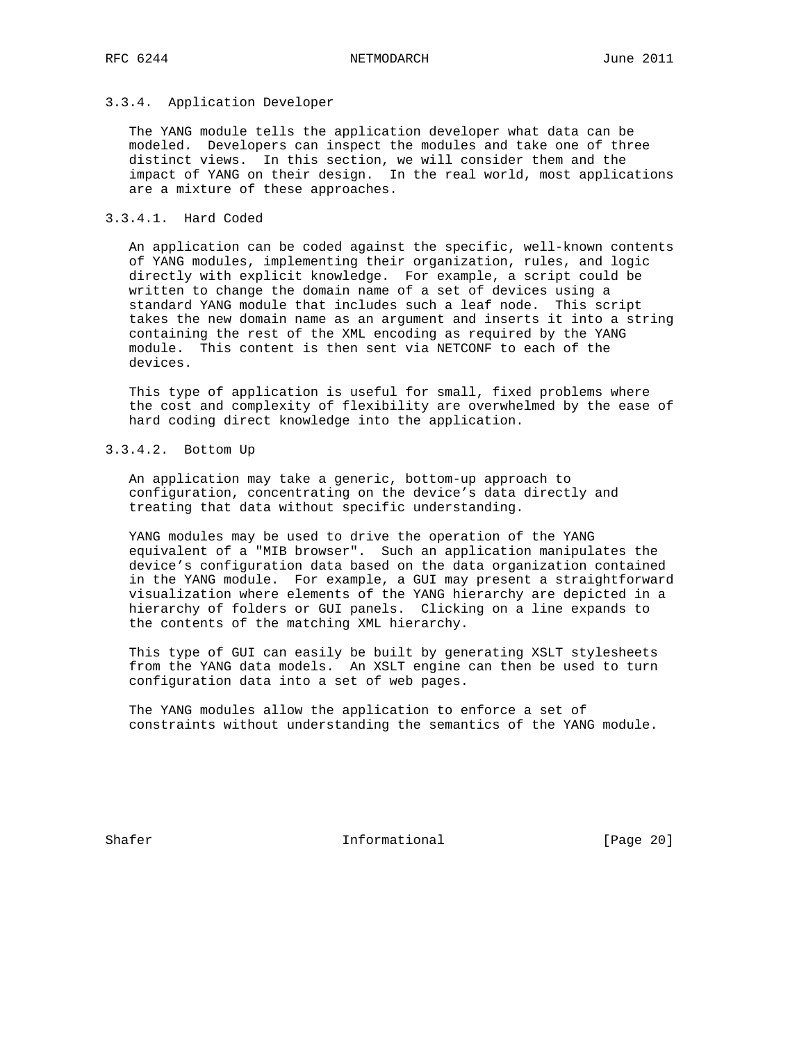### 3.3.4. Application Developer

 The YANG module tells the application developer what data can be modeled. Developers can inspect the modules and take one of three distinct views. In this section, we will consider them and the impact of YANG on their design. In the real world, most applications are a mixture of these approaches.

## 3.3.4.1. Hard Coded

 An application can be coded against the specific, well-known contents of YANG modules, implementing their organization, rules, and logic directly with explicit knowledge. For example, a script could be written to change the domain name of a set of devices using a standard YANG module that includes such a leaf node. This script takes the new domain name as an argument and inserts it into a string containing the rest of the XML encoding as required by the YANG module. This content is then sent via NETCONF to each of the devices.

 This type of application is useful for small, fixed problems where the cost and complexity of flexibility are overwhelmed by the ease of hard coding direct knowledge into the application.

3.3.4.2. Bottom Up

 An application may take a generic, bottom-up approach to configuration, concentrating on the device's data directly and treating that data without specific understanding.

 YANG modules may be used to drive the operation of the YANG equivalent of a "MIB browser". Such an application manipulates the device's configuration data based on the data organization contained in the YANG module. For example, a GUI may present a straightforward visualization where elements of the YANG hierarchy are depicted in a hierarchy of folders or GUI panels. Clicking on a line expands to the contents of the matching XML hierarchy.

 This type of GUI can easily be built by generating XSLT stylesheets from the YANG data models. An XSLT engine can then be used to turn configuration data into a set of web pages.

 The YANG modules allow the application to enforce a set of constraints without understanding the semantics of the YANG module.

Shafer Informational [Page 20]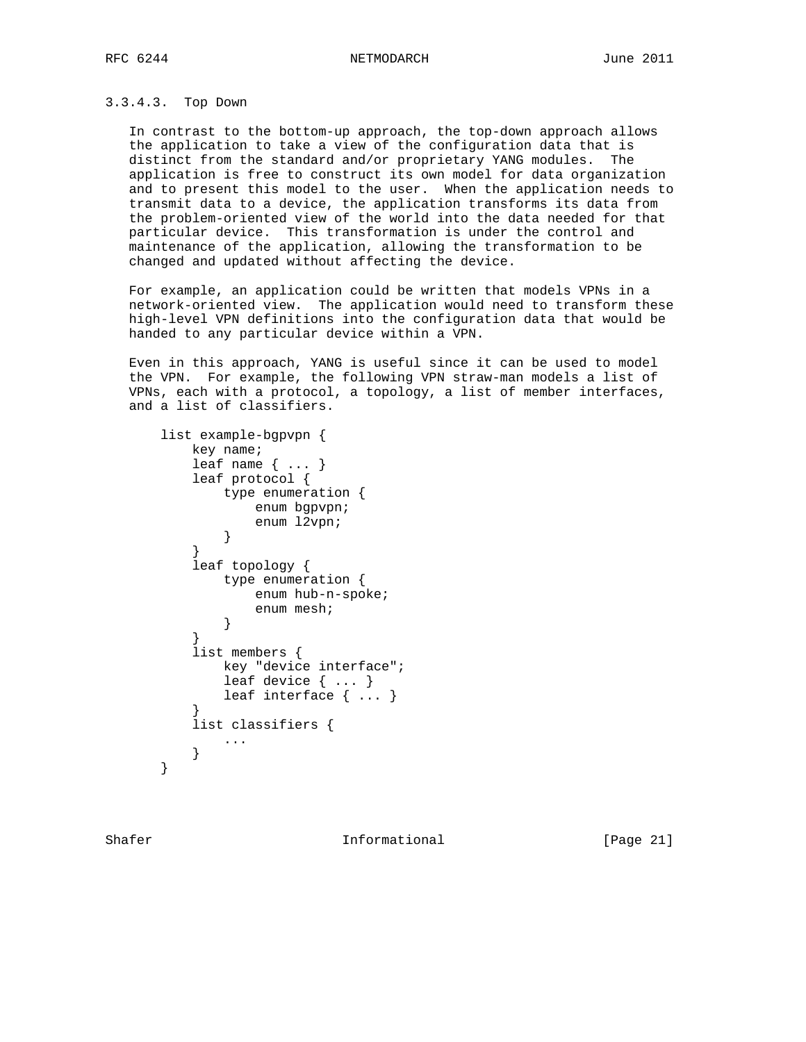### 3.3.4.3. Top Down

 In contrast to the bottom-up approach, the top-down approach allows the application to take a view of the configuration data that is distinct from the standard and/or proprietary YANG modules. The application is free to construct its own model for data organization and to present this model to the user. When the application needs to transmit data to a device, the application transforms its data from the problem-oriented view of the world into the data needed for that particular device. This transformation is under the control and maintenance of the application, allowing the transformation to be changed and updated without affecting the device.

 For example, an application could be written that models VPNs in a network-oriented view. The application would need to transform these high-level VPN definitions into the configuration data that would be handed to any particular device within a VPN.

 Even in this approach, YANG is useful since it can be used to model the VPN. For example, the following VPN straw-man models a list of VPNs, each with a protocol, a topology, a list of member interfaces, and a list of classifiers.

```
 list example-bgpvpn {
         key name;
         leaf name { ... }
         leaf protocol {
            type enumeration {
                enum bgpvpn;
           enum l2vpn;
}
}
         leaf topology {
            type enumeration {
               enum hub-n-spoke;
           enum mesh;
}
}
         list members {
            key "device interface";
            leaf device { ... }
           leaf interface { ... }
}
         list classifiers {
            ...
}
     }
```
Shafer **Informational** [Page 21]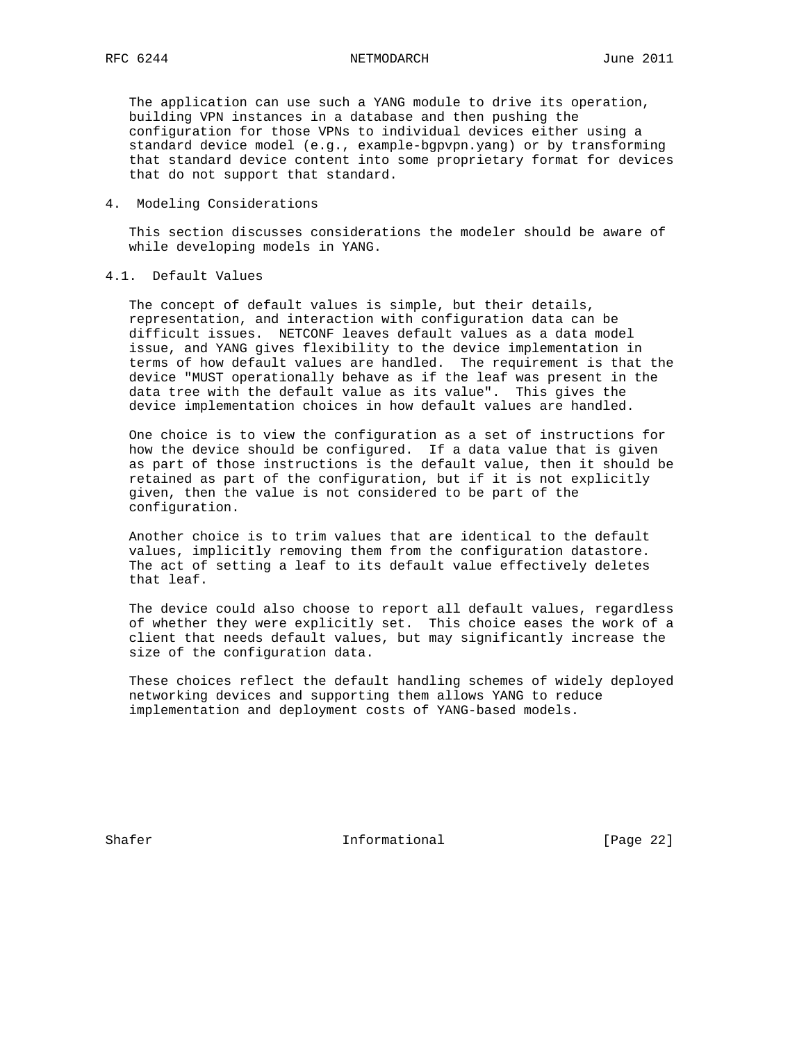The application can use such a YANG module to drive its operation, building VPN instances in a database and then pushing the configuration for those VPNs to individual devices either using a standard device model (e.g., example-bgpvpn.yang) or by transforming that standard device content into some proprietary format for devices that do not support that standard.

4. Modeling Considerations

 This section discusses considerations the modeler should be aware of while developing models in YANG.

4.1. Default Values

 The concept of default values is simple, but their details, representation, and interaction with configuration data can be difficult issues. NETCONF leaves default values as a data model issue, and YANG gives flexibility to the device implementation in terms of how default values are handled. The requirement is that the device "MUST operationally behave as if the leaf was present in the data tree with the default value as its value". This gives the device implementation choices in how default values are handled.

 One choice is to view the configuration as a set of instructions for how the device should be configured. If a data value that is given as part of those instructions is the default value, then it should be retained as part of the configuration, but if it is not explicitly given, then the value is not considered to be part of the configuration.

 Another choice is to trim values that are identical to the default values, implicitly removing them from the configuration datastore. The act of setting a leaf to its default value effectively deletes that leaf.

 The device could also choose to report all default values, regardless of whether they were explicitly set. This choice eases the work of a client that needs default values, but may significantly increase the size of the configuration data.

 These choices reflect the default handling schemes of widely deployed networking devices and supporting them allows YANG to reduce implementation and deployment costs of YANG-based models.

Shafer Informational [Page 22]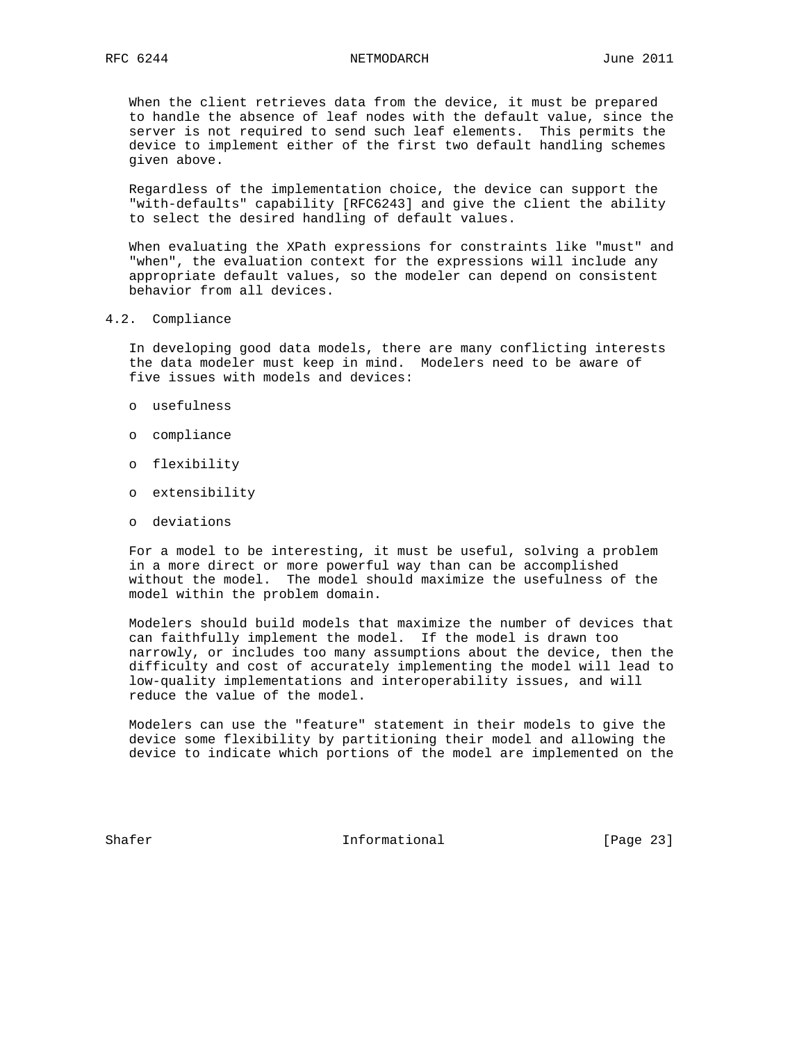When the client retrieves data from the device, it must be prepared to handle the absence of leaf nodes with the default value, since the server is not required to send such leaf elements. This permits the device to implement either of the first two default handling schemes given above.

 Regardless of the implementation choice, the device can support the "with-defaults" capability [RFC6243] and give the client the ability to select the desired handling of default values.

 When evaluating the XPath expressions for constraints like "must" and "when", the evaluation context for the expressions will include any appropriate default values, so the modeler can depend on consistent behavior from all devices.

4.2. Compliance

 In developing good data models, there are many conflicting interests the data modeler must keep in mind. Modelers need to be aware of five issues with models and devices:

- o usefulness
- o compliance
- o flexibility
- o extensibility
- o deviations

 For a model to be interesting, it must be useful, solving a problem in a more direct or more powerful way than can be accomplished without the model. The model should maximize the usefulness of the model within the problem domain.

 Modelers should build models that maximize the number of devices that can faithfully implement the model. If the model is drawn too narrowly, or includes too many assumptions about the device, then the difficulty and cost of accurately implementing the model will lead to low-quality implementations and interoperability issues, and will reduce the value of the model.

 Modelers can use the "feature" statement in their models to give the device some flexibility by partitioning their model and allowing the device to indicate which portions of the model are implemented on the

Shafer Informational [Page 23]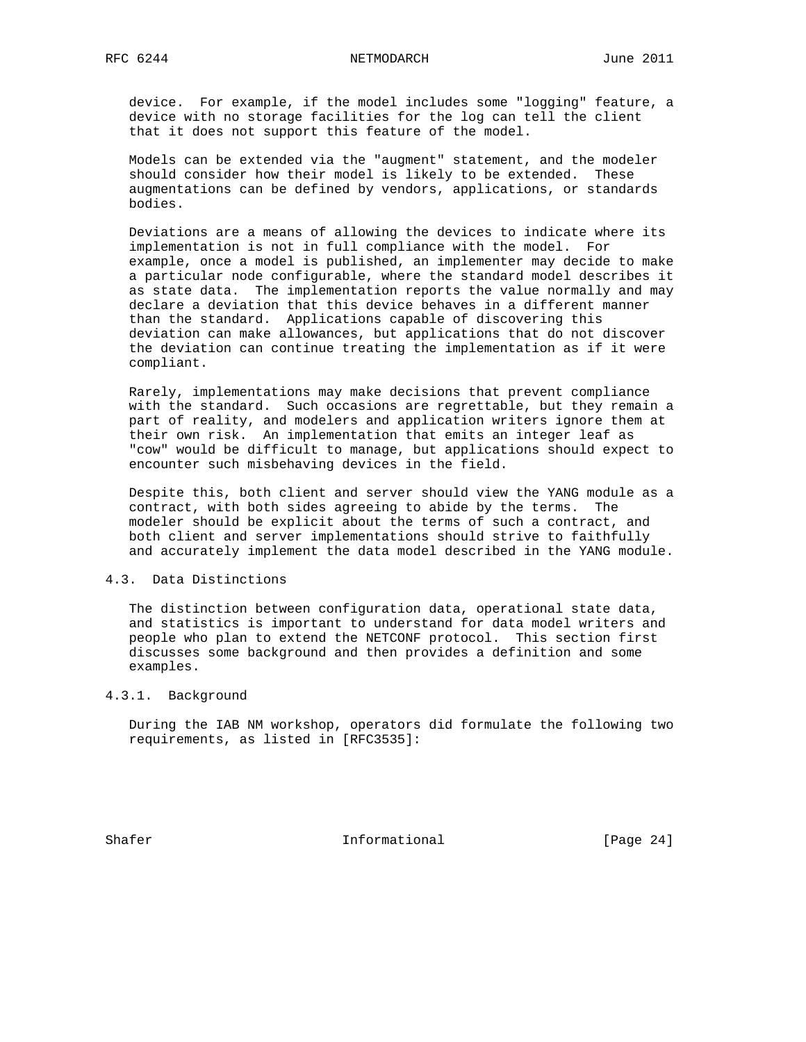device. For example, if the model includes some "logging" feature, a device with no storage facilities for the log can tell the client that it does not support this feature of the model.

 Models can be extended via the "augment" statement, and the modeler should consider how their model is likely to be extended. These augmentations can be defined by vendors, applications, or standards bodies.

 Deviations are a means of allowing the devices to indicate where its implementation is not in full compliance with the model. For example, once a model is published, an implementer may decide to make a particular node configurable, where the standard model describes it as state data. The implementation reports the value normally and may declare a deviation that this device behaves in a different manner than the standard. Applications capable of discovering this deviation can make allowances, but applications that do not discover the deviation can continue treating the implementation as if it were compliant.

 Rarely, implementations may make decisions that prevent compliance with the standard. Such occasions are regrettable, but they remain a part of reality, and modelers and application writers ignore them at their own risk. An implementation that emits an integer leaf as "cow" would be difficult to manage, but applications should expect to encounter such misbehaving devices in the field.

 Despite this, both client and server should view the YANG module as a contract, with both sides agreeing to abide by the terms. The modeler should be explicit about the terms of such a contract, and both client and server implementations should strive to faithfully and accurately implement the data model described in the YANG module.

### 4.3. Data Distinctions

 The distinction between configuration data, operational state data, and statistics is important to understand for data model writers and people who plan to extend the NETCONF protocol. This section first discusses some background and then provides a definition and some examples.

## 4.3.1. Background

 During the IAB NM workshop, operators did formulate the following two requirements, as listed in [RFC3535]:

Shafer Informational [Page 24]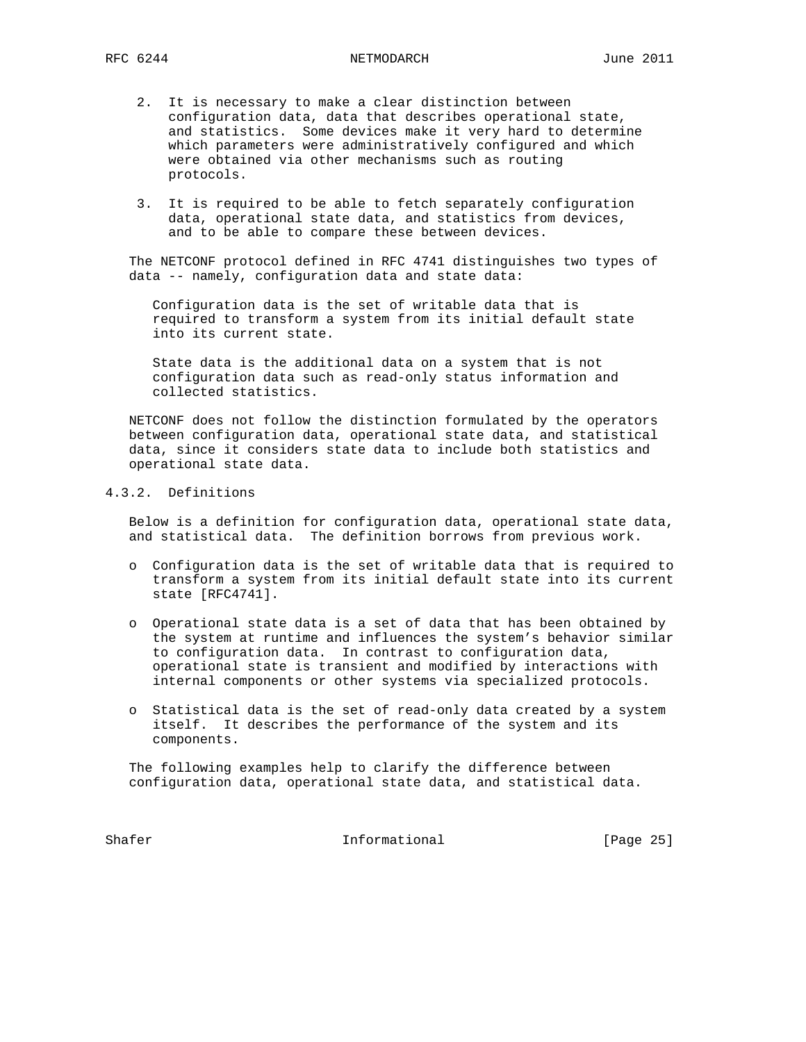- 2. It is necessary to make a clear distinction between configuration data, data that describes operational state, and statistics. Some devices make it very hard to determine which parameters were administratively configured and which were obtained via other mechanisms such as routing protocols.
- 3. It is required to be able to fetch separately configuration data, operational state data, and statistics from devices, and to be able to compare these between devices.

 The NETCONF protocol defined in RFC 4741 distinguishes two types of data -- namely, configuration data and state data:

 Configuration data is the set of writable data that is required to transform a system from its initial default state into its current state.

 State data is the additional data on a system that is not configuration data such as read-only status information and collected statistics.

 NETCONF does not follow the distinction formulated by the operators between configuration data, operational state data, and statistical data, since it considers state data to include both statistics and operational state data.

# 4.3.2. Definitions

 Below is a definition for configuration data, operational state data, and statistical data. The definition borrows from previous work.

- o Configuration data is the set of writable data that is required to transform a system from its initial default state into its current state [RFC4741].
- o Operational state data is a set of data that has been obtained by the system at runtime and influences the system's behavior similar to configuration data. In contrast to configuration data, operational state is transient and modified by interactions with internal components or other systems via specialized protocols.
- o Statistical data is the set of read-only data created by a system itself. It describes the performance of the system and its components.

 The following examples help to clarify the difference between configuration data, operational state data, and statistical data.

Shafer **Informational** [Page 25]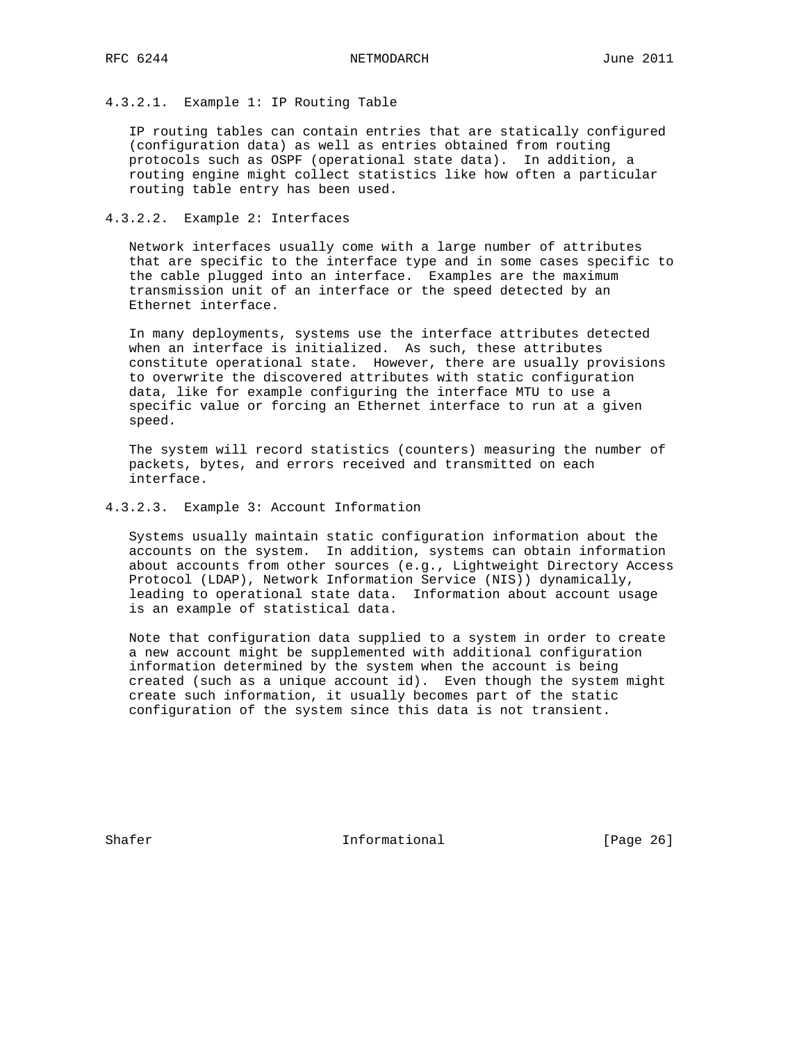## 4.3.2.1. Example 1: IP Routing Table

 IP routing tables can contain entries that are statically configured (configuration data) as well as entries obtained from routing protocols such as OSPF (operational state data). In addition, a routing engine might collect statistics like how often a particular routing table entry has been used.

## 4.3.2.2. Example 2: Interfaces

 Network interfaces usually come with a large number of attributes that are specific to the interface type and in some cases specific to the cable plugged into an interface. Examples are the maximum transmission unit of an interface or the speed detected by an Ethernet interface.

 In many deployments, systems use the interface attributes detected when an interface is initialized. As such, these attributes constitute operational state. However, there are usually provisions to overwrite the discovered attributes with static configuration data, like for example configuring the interface MTU to use a specific value or forcing an Ethernet interface to run at a given speed.

 The system will record statistics (counters) measuring the number of packets, bytes, and errors received and transmitted on each interface.

## 4.3.2.3. Example 3: Account Information

 Systems usually maintain static configuration information about the accounts on the system. In addition, systems can obtain information about accounts from other sources (e.g., Lightweight Directory Access Protocol (LDAP), Network Information Service (NIS)) dynamically, leading to operational state data. Information about account usage is an example of statistical data.

 Note that configuration data supplied to a system in order to create a new account might be supplemented with additional configuration information determined by the system when the account is being created (such as a unique account id). Even though the system might create such information, it usually becomes part of the static configuration of the system since this data is not transient.

Shafer Informational [Page 26]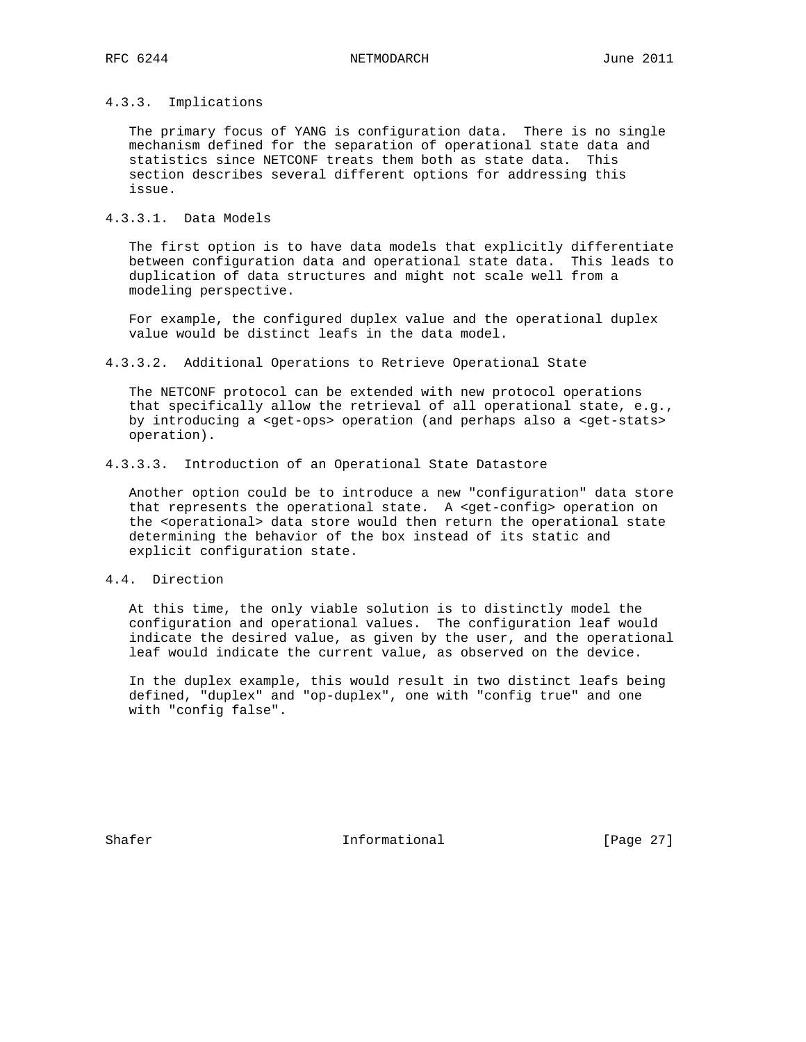# 4.3.3. Implications

 The primary focus of YANG is configuration data. There is no single mechanism defined for the separation of operational state data and statistics since NETCONF treats them both as state data. This section describes several different options for addressing this issue.

## 4.3.3.1. Data Models

 The first option is to have data models that explicitly differentiate between configuration data and operational state data. This leads to duplication of data structures and might not scale well from a modeling perspective.

 For example, the configured duplex value and the operational duplex value would be distinct leafs in the data model.

4.3.3.2. Additional Operations to Retrieve Operational State

 The NETCONF protocol can be extended with new protocol operations that specifically allow the retrieval of all operational state, e.g., by introducing a <get-ops> operation (and perhaps also a <get-stats> operation).

4.3.3.3. Introduction of an Operational State Datastore

 Another option could be to introduce a new "configuration" data store that represents the operational state. A <get-config> operation on the <operational> data store would then return the operational state determining the behavior of the box instead of its static and explicit configuration state.

#### 4.4. Direction

 At this time, the only viable solution is to distinctly model the configuration and operational values. The configuration leaf would indicate the desired value, as given by the user, and the operational leaf would indicate the current value, as observed on the device.

 In the duplex example, this would result in two distinct leafs being defined, "duplex" and "op-duplex", one with "config true" and one with "config false".

Shafer Informational [Page 27]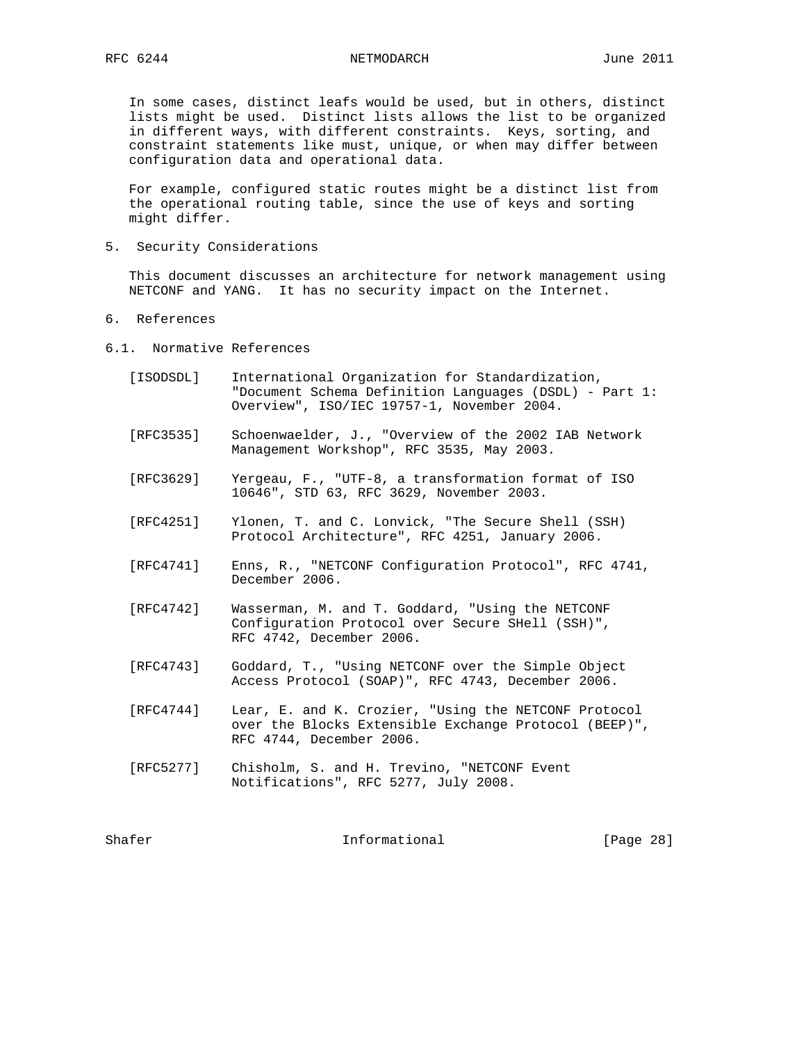In some cases, distinct leafs would be used, but in others, distinct lists might be used. Distinct lists allows the list to be organized in different ways, with different constraints. Keys, sorting, and constraint statements like must, unique, or when may differ between configuration data and operational data.

 For example, configured static routes might be a distinct list from the operational routing table, since the use of keys and sorting might differ.

5. Security Considerations

 This document discusses an architecture for network management using NETCONF and YANG. It has no security impact on the Internet.

- 6. References
- 6.1. Normative References
	- [ISODSDL] International Organization for Standardization, "Document Schema Definition Languages (DSDL) - Part 1: Overview", ISO/IEC 19757-1, November 2004.
	- [RFC3535] Schoenwaelder, J., "Overview of the 2002 IAB Network Management Workshop", RFC 3535, May 2003.
	- [RFC3629] Yergeau, F., "UTF-8, a transformation format of ISO 10646", STD 63, RFC 3629, November 2003.
	- [RFC4251] Ylonen, T. and C. Lonvick, "The Secure Shell (SSH) Protocol Architecture", RFC 4251, January 2006.
	- [RFC4741] Enns, R., "NETCONF Configuration Protocol", RFC 4741, December 2006.
	- [RFC4742] Wasserman, M. and T. Goddard, "Using the NETCONF Configuration Protocol over Secure SHell (SSH)", RFC 4742, December 2006.
	- [RFC4743] Goddard, T., "Using NETCONF over the Simple Object Access Protocol (SOAP)", RFC 4743, December 2006.
	- [RFC4744] Lear, E. and K. Crozier, "Using the NETCONF Protocol over the Blocks Extensible Exchange Protocol (BEEP)", RFC 4744, December 2006.
	- [RFC5277] Chisholm, S. and H. Trevino, "NETCONF Event Notifications", RFC 5277, July 2008.

Shafer Informational [Page 28]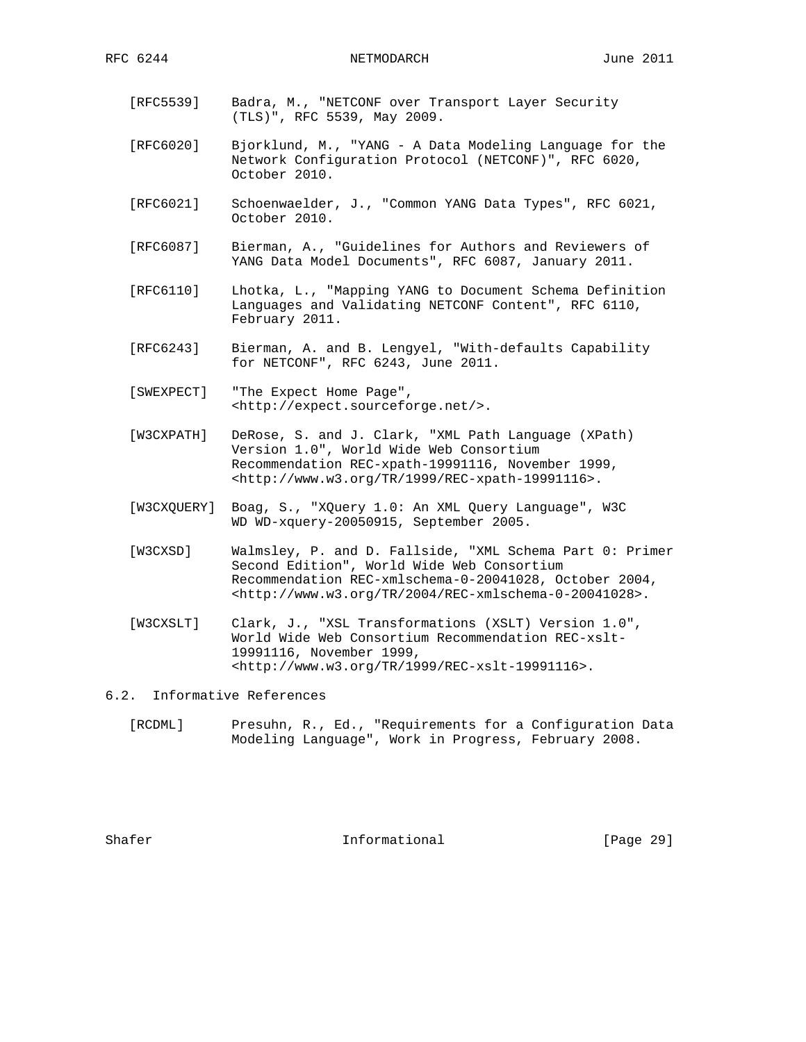- [RFC5539] Badra, M., "NETCONF over Transport Layer Security (TLS)", RFC 5539, May 2009.
- [RFC6020] Bjorklund, M., "YANG A Data Modeling Language for the Network Configuration Protocol (NETCONF)", RFC 6020, October 2010.
- [RFC6021] Schoenwaelder, J., "Common YANG Data Types", RFC 6021, October 2010.
- [RFC6087] Bierman, A., "Guidelines for Authors and Reviewers of YANG Data Model Documents", RFC 6087, January 2011.
- [RFC6110] Lhotka, L., "Mapping YANG to Document Schema Definition Languages and Validating NETCONF Content", RFC 6110, February 2011.
- [RFC6243] Bierman, A. and B. Lengyel, "With-defaults Capability for NETCONF", RFC 6243, June 2011.
- [SWEXPECT] "The Expect Home Page", <http://expect.sourceforge.net/>.
- [W3CXPATH] DeRose, S. and J. Clark, "XML Path Language (XPath) Version 1.0", World Wide Web Consortium Recommendation REC-xpath-19991116, November 1999, <http://www.w3.org/TR/1999/REC-xpath-19991116>.
- [W3CXQUERY] Boag, S., "XQuery 1.0: An XML Query Language", W3C WD WD-xquery-20050915, September 2005.
- [W3CXSD] Walmsley, P. and D. Fallside, "XML Schema Part 0: Primer Second Edition", World Wide Web Consortium Recommendation REC-xmlschema-0-20041028, October 2004, <http://www.w3.org/TR/2004/REC-xmlschema-0-20041028>.
- [W3CXSLT] Clark, J., "XSL Transformations (XSLT) Version 1.0", World Wide Web Consortium Recommendation REC-xslt- 19991116, November 1999, <http://www.w3.org/TR/1999/REC-xslt-19991116>.
- 6.2. Informative References
	- [RCDML] Presuhn, R., Ed., "Requirements for a Configuration Data Modeling Language", Work in Progress, February 2008.

Shafer **Informational** [Page 29]